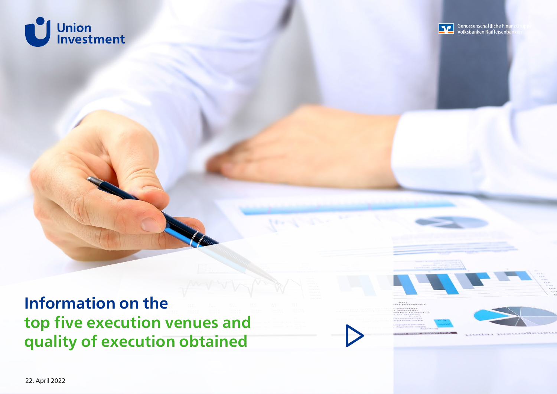<span id="page-0-0"></span>



**Information on the top five execution venues and quality of execution obtained**



33 K





**CONTRACTOR**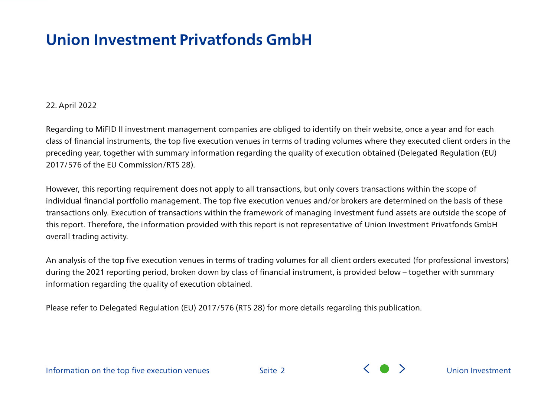## **Union Investment Privatfonds GmbH**

#### 22. April 2022

Regarding to MiFID II investment management companies are obliged to identify on their website, once a year and for each class of financial instruments, the top five execution venues in terms of trading volumes where they executed client orders in the preceding year, together with summary information regarding the quality of execution obtained (Delegated Regulation (EU) 2017/576 of the EU Commission/RTS 28).

However, this reporting requirement does not apply to all transactions, but only covers transactions within the scope of individual financial portfolio management. The top five execution venues and/or brokers are determined on the basis of these transactions only. Execution of transactions within the framework of managing investment fund assets are outside the scope of this report. Therefore, the information provided with this report is not representative of Union Investment Privatfonds GmbH overall trading activity.

An analysis of the top five execution venues in terms of trading volumes for all client orders executed (for professional investors) during the 2021 reporting period, broken down by class of financial instrument, is provided below – together with summary information regarding the quality of execution obtained.

Please refer to Delegated Regulation (EU) 2017/576 (RTS 28) for more details regarding this publication.



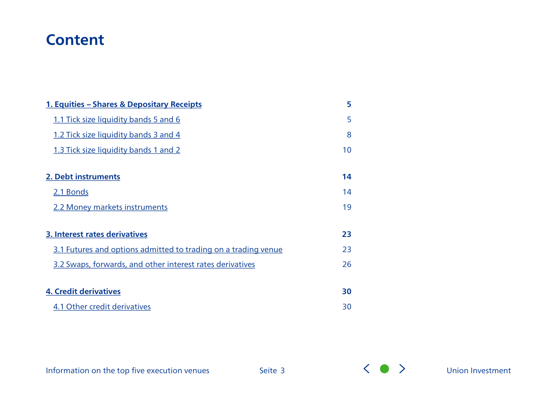### **Content**

| 1. Equities - Shares & Depositary Receipts                     | 5  |
|----------------------------------------------------------------|----|
| 1.1 Tick size liquidity bands 5 and 6                          | 5  |
| 1.2 Tick size liquidity bands 3 and 4                          | 8  |
| 1.3 Tick size liquidity bands 1 and 2                          | 10 |
|                                                                |    |
| 2. Debt instruments                                            | 14 |
| 2.1 Bonds                                                      | 14 |
| 2.2 Money markets instruments                                  | 19 |
|                                                                |    |
| 3. Interest rates derivatives                                  | 23 |
| 3.1 Futures and options admitted to trading on a trading venue | 23 |
| 3.2 Swaps, forwards, and other interest rates derivatives      | 26 |
|                                                                |    |
| <b>4. Credit derivatives</b>                                   | 30 |
| 4.1 Other credit derivatives                                   | 30 |

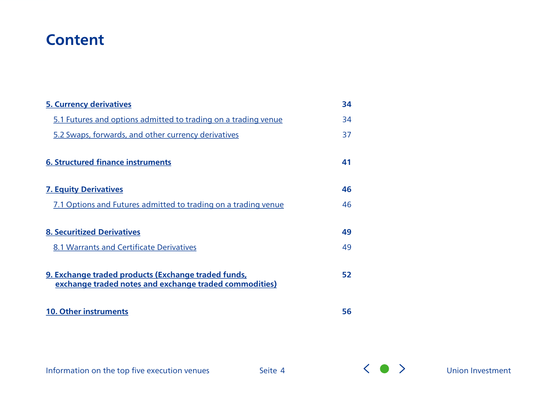### **Content**

| <b>5. Currency derivatives</b>                                                                                | 34 |
|---------------------------------------------------------------------------------------------------------------|----|
| 5.1 Futures and options admitted to trading on a trading venue                                                | 34 |
| 5.2 Swaps, forwards, and other currency derivatives                                                           | 37 |
| <b>6. Structured finance instruments</b>                                                                      | 41 |
| <b>7. Equity Derivatives</b>                                                                                  | 46 |
| 7.1 Options and Futures admitted to trading on a trading venue                                                | 46 |
| <b>8. Securitized Derivatives</b>                                                                             | 49 |
| 8.1 Warrants and Certificate Derivatives                                                                      | 49 |
| 9. Exchange traded products (Exchange traded funds,<br>exchange traded notes and exchange traded commodities) | 52 |
| <b>10. Other instruments</b>                                                                                  | 56 |

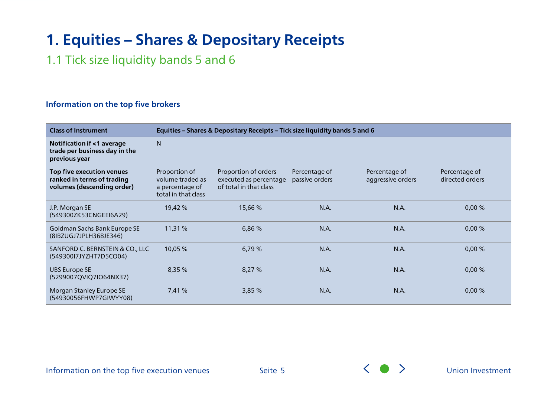### <span id="page-4-0"></span>1.1 Tick size liquidity bands 5 and 6

#### **Information on the top five brokers**

| <b>Class of Instrument</b>                                                            |                                                                             | Equities - Shares & Depositary Receipts - Tick size liquidity bands 5 and 6 |                                 |                                    |                                  |  |
|---------------------------------------------------------------------------------------|-----------------------------------------------------------------------------|-----------------------------------------------------------------------------|---------------------------------|------------------------------------|----------------------------------|--|
| Notification if <1 average<br>trade per business day in the<br>previous year          | N                                                                           |                                                                             |                                 |                                    |                                  |  |
| Top five execution venues<br>ranked in terms of trading<br>volumes (descending order) | Proportion of<br>volume traded as<br>a percentage of<br>total in that class | Proportion of orders<br>executed as percentage<br>of total in that class    | Percentage of<br>passive orders | Percentage of<br>aggressive orders | Percentage of<br>directed orders |  |
| J.P. Morgan SE<br>(549300ZK53CNGEEI6A29)                                              | 19,42 %                                                                     | 15,66 %                                                                     | N.A.                            | N.A.                               | 0,00%                            |  |
| Goldman Sachs Bank Europe SE<br>(8IBZUGJ7JPLH368JE346)                                | 11,31 %                                                                     | 6,86 %                                                                      | N.A.                            | N.A.                               | 0,00%                            |  |
| SANFORD C. BERNSTEIN & CO., LLC<br>(549300l7JYZHT7D5CO04)                             | 10,05 %                                                                     | 6,79 %                                                                      | N.A.                            | N.A.                               | 0,00%                            |  |
| UBS Europe SE<br>(5299007QVIQ7IO64NX37)                                               | 8,35 %                                                                      | 8,27 %                                                                      | N.A.                            | N.A.                               | 0,00%                            |  |
| Morgan Stanley Europe SE<br>(54930056FHWP7GIWYY08)                                    | 7,41 %                                                                      | 3,85 %                                                                      | N.A.                            | N.A.                               | 0,00%                            |  |

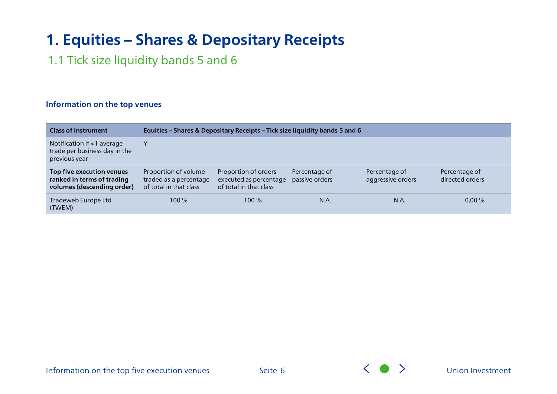### 1.1 Tick size liquidity bands 5 and 6

#### **Information on the top venues**

| <b>Class of Instrument</b>                                                            | Equities - Shares & Depositary Receipts - Tick size liquidity bands 5 and 6 |                                                                          |                                 |                                    |                                  |
|---------------------------------------------------------------------------------------|-----------------------------------------------------------------------------|--------------------------------------------------------------------------|---------------------------------|------------------------------------|----------------------------------|
| Notification if <1 average<br>trade per business day in the<br>previous year          |                                                                             |                                                                          |                                 |                                    |                                  |
| Top five execution venues<br>ranked in terms of trading<br>volumes (descending order) | Proportion of volume<br>traded as a percentage<br>of total in that class    | Proportion of orders<br>executed as percentage<br>of total in that class | Percentage of<br>passive orders | Percentage of<br>aggressive orders | Percentage of<br>directed orders |
| Tradeweb Europe Ltd.<br>(TWEM)                                                        | $100\%$                                                                     | $100\%$                                                                  | N.A.                            | N.A.                               | 0,00%                            |



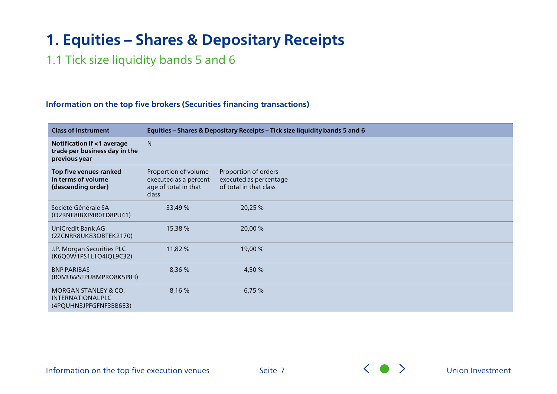### 1.1 Tick size liquidity bands 5 and 6

#### **Information on the top five brokers (Securities financing transactions)**

| <b>Class of Instrument</b>                                                     |                                                                                 | Equities - Shares & Depositary Receipts - Tick size liquidity bands 5 and 6 |
|--------------------------------------------------------------------------------|---------------------------------------------------------------------------------|-----------------------------------------------------------------------------|
| Notification if <1 average<br>trade per business day in the<br>previous year   | N                                                                               |                                                                             |
| Top five venues ranked<br>in terms of volume<br>(descending order)             | Proportion of volume<br>executed as a percent-<br>age of total in that<br>class | Proportion of orders<br>executed as percentage<br>of total in that class    |
| Société Générale SA<br>(O2RNE8IBXP4R0TD8PU41)                                  | 33,49 %                                                                         | 20,25 %                                                                     |
| UniCredit Bank AG<br>(2ZCNRR8UK83OBTEK2170)                                    | 15,38 %                                                                         | 20,00 %                                                                     |
| J.P. Morgan Securities PLC<br>(K6Q0W1PS1L1O4IQL9C32)                           | 11,82 %                                                                         | 19,00 %                                                                     |
| <b>BNP PARIBAS</b><br>(ROMUWSFPU8MPRO8K5P83)                                   | 8,36 %                                                                          | 4,50 %                                                                      |
| <b>MORGAN STANLEY &amp; CO.</b><br>INTERNATIONAL PLC<br>(4PQUHN3JPFGFNF3BB653) | 8,16 %                                                                          | 6,75%                                                                       |

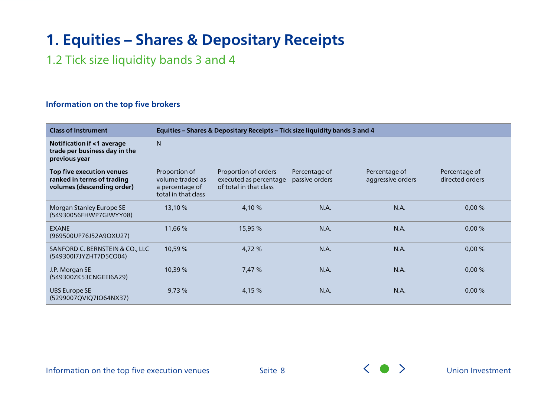<span id="page-7-0"></span>1.2 Tick size liquidity bands 3 and 4

#### **Information on the top five brokers**

| <b>Class of Instrument</b>                                                            |                                                                             | Equities - Shares & Depositary Receipts - Tick size liquidity bands 3 and 4 |                                 |                                    |                                  |  |
|---------------------------------------------------------------------------------------|-----------------------------------------------------------------------------|-----------------------------------------------------------------------------|---------------------------------|------------------------------------|----------------------------------|--|
| Notification if <1 average<br>trade per business day in the<br>previous year          | N                                                                           |                                                                             |                                 |                                    |                                  |  |
| Top five execution venues<br>ranked in terms of trading<br>volumes (descending order) | Proportion of<br>volume traded as<br>a percentage of<br>total in that class | Proportion of orders<br>executed as percentage<br>of total in that class    | Percentage of<br>passive orders | Percentage of<br>aggressive orders | Percentage of<br>directed orders |  |
| Morgan Stanley Europe SE<br>(54930056FHWP7GIWYY08)                                    | 13,10 %                                                                     | 4,10 %                                                                      | N.A.                            | N.A.                               | 0,00%                            |  |
| <b>EXANE</b><br>(969500UP76J52A9OXU27)                                                | 11,66 %                                                                     | 15,95 %                                                                     | N.A.                            | N.A.                               | 0,00%                            |  |
| SANFORD C. BERNSTEIN & CO., LLC<br>(54930017JYZHT7D5CO04)                             | 10,59 %                                                                     | 4,72 %                                                                      | N.A.                            | N.A.                               | 0,00%                            |  |
| J.P. Morgan SE<br>(549300ZK53CNGEEI6A29)                                              | 10,39 %                                                                     | 7,47 %                                                                      | N.A.                            | N.A.                               | 0,00%                            |  |
| <b>UBS Europe SE</b><br>(5299007QVIQ7IO64NX37)                                        | 9,73%                                                                       | 4,15 %                                                                      | N.A.                            | N.A.                               | 0,00%                            |  |

Information on the top five execution venues

Seite 8  $\left\langle \bullet\right\rangle$  [Union Investment](#page-0-0)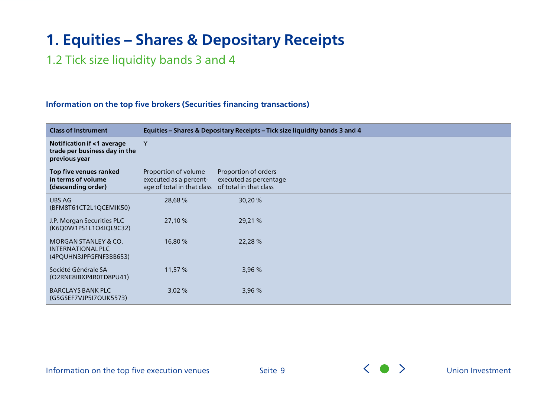### 1.2 Tick size liquidity bands 3 and 4

#### **Information on the top five brokers (Securities financing transactions)**

| <b>Class of Instrument</b>                                                     |                                                                              | Equities - Shares & Depositary Receipts - Tick size liquidity bands 3 and 4 |
|--------------------------------------------------------------------------------|------------------------------------------------------------------------------|-----------------------------------------------------------------------------|
| Notification if <1 average<br>trade per business day in the<br>previous year   | Y                                                                            |                                                                             |
| Top five venues ranked<br>in terms of volume<br>(descending order)             | Proportion of volume<br>executed as a percent-<br>age of total in that class | Proportion of orders<br>executed as percentage<br>of total in that class    |
| UBS AG<br>(BFM8T61CT2L1QCEMIK50)                                               | 28,68 %                                                                      | 30,20 %                                                                     |
| J.P. Morgan Securities PLC<br>(K6Q0W1PS1L1O4IQL9C32)                           | 27,10 %                                                                      | 29,21 %                                                                     |
| <b>MORGAN STANLEY &amp; CO.</b><br>INTERNATIONAL PLC<br>(4PQUHN3JPFGFNF3BB653) | 16,80 %                                                                      | 22,28 %                                                                     |
| Société Générale SA<br>(O2RNE8IBXP4R0TD8PU41)                                  | 11,57%                                                                       | 3,96 %                                                                      |
| <b>BARCLAYS BANK PLC</b><br>(G5GSEF7VJP5I7OUK5573)                             | 3,02%                                                                        | 3,96 %                                                                      |

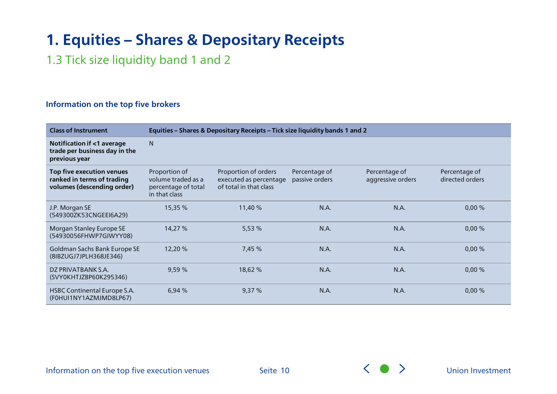<span id="page-9-0"></span>1.3 Tick size liquidity band 1 and 2

#### **Information on the top five brokers**

| <b>Class of Instrument</b>                                                            |                                                                             | Equities - Shares & Depositary Receipts - Tick size liquidity bands 1 and 2 |                                 |                                    |                                  |  |
|---------------------------------------------------------------------------------------|-----------------------------------------------------------------------------|-----------------------------------------------------------------------------|---------------------------------|------------------------------------|----------------------------------|--|
| Notification if <1 average<br>trade per business day in the<br>previous year          | N                                                                           |                                                                             |                                 |                                    |                                  |  |
| Top five execution venues<br>ranked in terms of trading<br>volumes (descending order) | Proportion of<br>volume traded as a<br>percentage of total<br>in that class | Proportion of orders<br>executed as percentage<br>of total in that class    | Percentage of<br>passive orders | Percentage of<br>aggressive orders | Percentage of<br>directed orders |  |
| J.P. Morgan SE<br>(549300ZK53CNGEEI6A29)                                              | 15,35 %                                                                     | 11,40 %                                                                     | N.A.                            | N.A.                               | 0,00%                            |  |
| Morgan Stanley Europe SE<br>(54930056FHWP7GIWYY08)                                    | 14,27 %                                                                     | 5,53 %                                                                      | N.A.                            | N.A.                               | 0,00%                            |  |
| Goldman Sachs Bank Europe SE<br>(8IBZUGJ7JPLH368JE346)                                | 12,20 %                                                                     | 7,45 %                                                                      | N.A.                            | <b>N.A.</b>                        | 0,00%                            |  |
| DZ PRIVATBANK S.A.<br>(SVY0KHTJZBP60K295346)                                          | 9,59 %                                                                      | 18,62 %                                                                     | N.A.                            | N.A.                               | 0,00%                            |  |
| HSBC Continental Europe S.A.<br>(F0HUI1NY1AZMJMD8LP67)                                | 6,94 %                                                                      | 9,37%                                                                       | N.A.                            | N.A.                               | 0,00%                            |  |

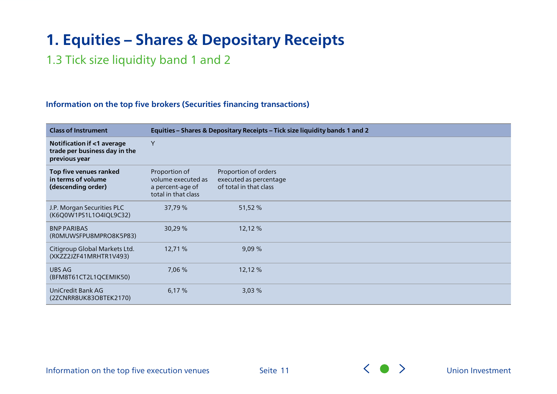### 1.3 Tick size liquidity band 1 and 2

#### **Information on the top five brokers (Securities financing transactions)**

| <b>Class of Instrument</b>                                                   |                                                                                | Equities - Shares & Depositary Receipts - Tick size liquidity bands 1 and 2 |
|------------------------------------------------------------------------------|--------------------------------------------------------------------------------|-----------------------------------------------------------------------------|
| Notification if <1 average<br>trade per business day in the<br>previous year | Y                                                                              |                                                                             |
| Top five venues ranked<br>in terms of volume<br>(descending order)           | Proportion of<br>volume executed as<br>a percent-age of<br>total in that class | Proportion of orders<br>executed as percentage<br>of total in that class    |
| J.P. Morgan Securities PLC<br>(K6Q0W1PS1L1O4IQL9C32)                         | 37,79 %                                                                        | 51,52 %                                                                     |
| <b>BNP PARIBAS</b><br>(ROMUWSFPU8MPRO8K5P83)                                 | 30,29 %                                                                        | 12,12 %                                                                     |
| Citigroup Global Markets Ltd.<br>(XKZZ2JZF41MRHTR1V493)                      | 12,71 %                                                                        | 9,09%                                                                       |
| UBS AG<br>(BFM8T61CT2L1QCEMIK50)                                             | 7,06 %                                                                         | 12,12 %                                                                     |
| UniCredit Bank AG<br>(2ZCNRR8UK83OBTEK2170)                                  | 6,17%                                                                          | 3,03%                                                                       |

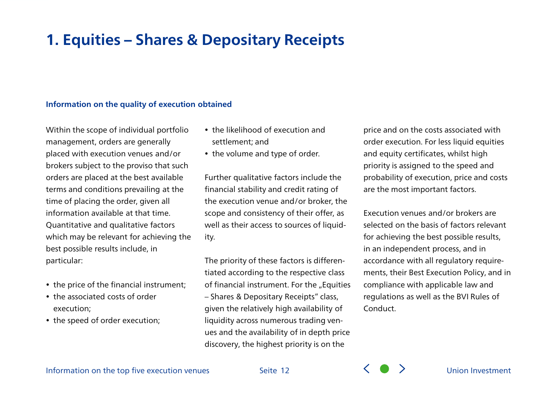#### **Information on the quality of execution obtained**

Within the scope of individual portfolio management, orders are generally placed with execution venues and/or brokers subject to the proviso that such orders are placed at the best available terms and conditions prevailing at the time of placing the order, given all information available at that time. Quantitative and qualitative factors which may be relevant for achieving the best possible results include, in particular:

- the price of the financial instrument;
- the associated costs of order execution;
- the speed of order execution;
- the likelihood of execution and settlement; and
- the volume and type of order.

Further qualitative factors include the financial stability and credit rating of the execution venue and/or broker, the scope and consistency of their offer, as well as their access to sources of liquidity.

The priority of these factors is differentiated according to the respective class of financial instrument. For the "Equities – Shares & Depositary Receipts" class, given the relatively high availability of liquidity across numerous trading venues and the availability of in depth price discovery, the highest priority is on the

price and on the costs associated with order execution. For less liquid equities and equity certificates, whilst high priority is assigned to the speed and probability of execution, price and costs are the most important factors.

Execution venues and/or brokers are selected on the basis of factors relevant for achieving the best possible results, in an independent process, and in accordance with all regulatory requirements, their Best Execution Policy, and in compliance with applicable law and regulations as well as the BVI Rules of Conduct.



Seite 12 **Seite 12** Seite 12 **Seite 12** Seite 12 Seite 12 Seite 12 Seite 12 Seite 12 Seite 12 Seite 12 Seite 12 Seite 12 Seite 12 Seite 12 Seite 12 Seite 12 Seite 12 Seite 12 Seite 12 Seite 12 Seite 12 Seite 12 Seite 12 Se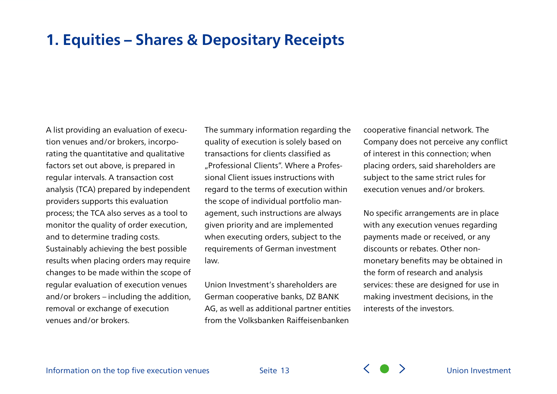A list providing an evaluation of execution venues and/or brokers, incorporating the quantitative and qualitative factors set out above, is prepared in regular intervals. A transaction cost analysis (TCA) prepared by independent providers supports this evaluation process; the TCA also serves as a tool to monitor the quality of order execution, and to determine trading costs. Sustainably achieving the best possible results when placing orders may require changes to be made within the scope of regular evaluation of execution venues and/or brokers – including the addition, removal or exchange of execution venues and/or brokers.

The summary information regarding the quality of execution is solely based on transactions for clients classified as "Professional Clients". Where a Professional Client issues instructions with regard to the terms of execution within the scope of individual portfolio management, such instructions are always given priority and are implemented when executing orders, subject to the requirements of German investment law.

Union Investment's shareholders are German cooperative banks, DZ BANK AG, as well as additional partner entities from the Volksbanken Raiffeisenbanken

cooperative financial network. The Company does not perceive any conflict of interest in this connection; when placing orders, said shareholders are subject to the same strict rules for execution venues and/or brokers.

No specific arrangements are in place with any execution venues regarding payments made or received, or any discounts or rebates. Other nonmonetary benefits may be obtained in the form of research and analysis services: these are designed for use in making investment decisions, in the interests of the investors.

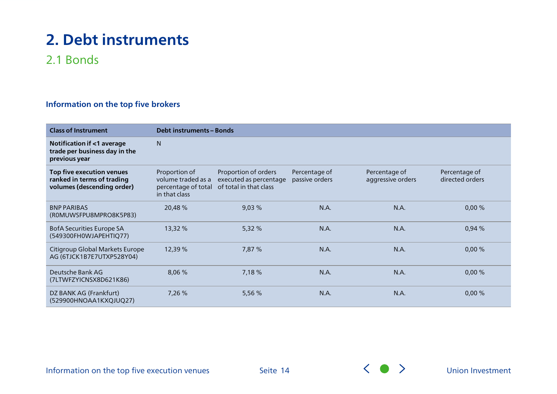### <span id="page-13-0"></span>2.1 Bonds

### **Information on the top five brokers**

| <b>Class of Instrument</b>                                                            | <b>Debt instruments - Bonds</b>                                             |                                                                          |                                 |                                    |                                  |
|---------------------------------------------------------------------------------------|-----------------------------------------------------------------------------|--------------------------------------------------------------------------|---------------------------------|------------------------------------|----------------------------------|
| Notification if <1 average<br>trade per business day in the<br>previous year          | N                                                                           |                                                                          |                                 |                                    |                                  |
| Top five execution venues<br>ranked in terms of trading<br>volumes (descending order) | Proportion of<br>volume traded as a<br>percentage of total<br>in that class | Proportion of orders<br>executed as percentage<br>of total in that class | Percentage of<br>passive orders | Percentage of<br>aggressive orders | Percentage of<br>directed orders |
| <b>BNP PARIBAS</b><br>(ROMUWSFPU8MPRO8K5P83)                                          | 20,48%                                                                      | 9,03%                                                                    | N.A.                            | N.A.                               | 0,00%                            |
| BofA Securities Europe SA<br>(549300FH0WJAPEHTIQ77)                                   | 13,32 %                                                                     | 5,32 %                                                                   | N.A.                            | N.A.                               | 0,94 %                           |
| Citigroup Global Markets Europe<br>AG (6TJCK1B7E7UTXP528Y04)                          | 12,39 %                                                                     | 7,87 %                                                                   | N.A.                            | N.A.                               | 0,00%                            |
| Deutsche Bank AG<br>(7LTWFZYICNSX8D621K86)                                            | 8,06 %                                                                      | 7,18 %                                                                   | N.A.                            | N.A.                               | 0,00%                            |
| DZ BANK AG (Frankfurt)<br>(529900HNOAA1KXQJUQ27)                                      | 7,26 %                                                                      | 5,56 %                                                                   | N.A.                            | N.A.                               | 0,00%                            |

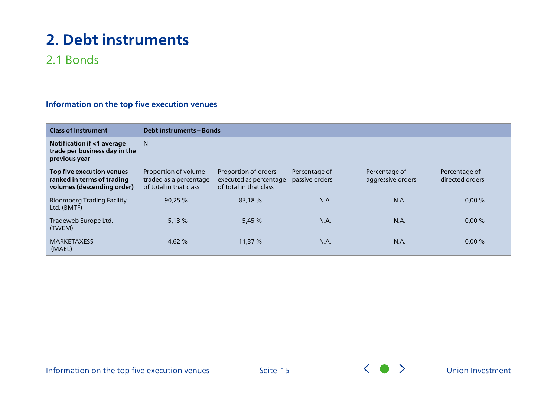### 2.1 Bonds

| <b>Class of Instrument</b>                                                            |                                                                          | <b>Debt instruments - Bonds</b>                                          |                                 |                                    |                                  |  |
|---------------------------------------------------------------------------------------|--------------------------------------------------------------------------|--------------------------------------------------------------------------|---------------------------------|------------------------------------|----------------------------------|--|
| Notification if <1 average<br>trade per business day in the<br>previous year          | N                                                                        |                                                                          |                                 |                                    |                                  |  |
| Top five execution venues<br>ranked in terms of trading<br>volumes (descending order) | Proportion of volume<br>traded as a percentage<br>of total in that class | Proportion of orders<br>executed as percentage<br>of total in that class | Percentage of<br>passive orders | Percentage of<br>aggressive orders | Percentage of<br>directed orders |  |
| <b>Bloomberg Trading Facility</b><br>Ltd. (BMTF)                                      | 90,25 %                                                                  | 83,18%                                                                   | N.A.                            | N.A.                               | 0,00%                            |  |
| Tradeweb Europe Ltd.<br>(TWEM)                                                        | 5,13%                                                                    | 5,45 %                                                                   | N.A.                            | N.A.                               | 0,00%                            |  |
| <b>MARKETAXESS</b><br>(MAEL)                                                          | 4,62 %                                                                   | 11,37 %                                                                  | N.A.                            | N.A.                               | 0,00%                            |  |

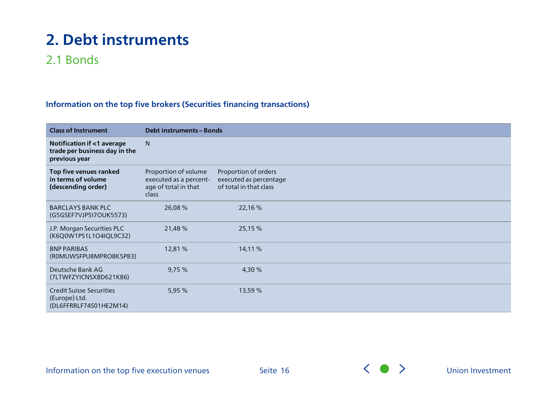### 2.1 Bonds

### **Information on the top five brokers (Securities financing transactions)**

| <b>Class of Instrument</b>                                                             | <b>Debt instruments - Bonds</b>                                                 |                                                                          |  |  |
|----------------------------------------------------------------------------------------|---------------------------------------------------------------------------------|--------------------------------------------------------------------------|--|--|
| <b>Notification if &lt;1 average</b><br>trade per business day in the<br>previous year | N                                                                               |                                                                          |  |  |
| Top five venues ranked<br>in terms of volume<br>(descending order)                     | Proportion of volume<br>executed as a percent-<br>age of total in that<br>class | Proportion of orders<br>executed as percentage<br>of total in that class |  |  |
| <b>BARCLAYS BANK PLC</b><br>(G5GSEF7VJP5I7OUK5573)                                     | 26,08 %                                                                         | 22,16 %                                                                  |  |  |
| J.P. Morgan Securities PLC<br>(K6Q0W1PS1L1O4IQL9C32)                                   | 21,48 %                                                                         | 25,15 %                                                                  |  |  |
| <b>BNP PARIBAS</b><br>(ROMUWSFPU8MPRO8K5P83)                                           | 12,81 %                                                                         | 14,11 %                                                                  |  |  |
| Deutsche Bank AG<br>(7LTWFZYICNSX8D621K86)                                             | 9,75%                                                                           | 4,30 %                                                                   |  |  |
| <b>Credit Suisse Securities</b><br>(Europe) Ltd.<br>(DL6FFRRLF74S01HE2M14)             | 5,95 %                                                                          | 13,59 %                                                                  |  |  |

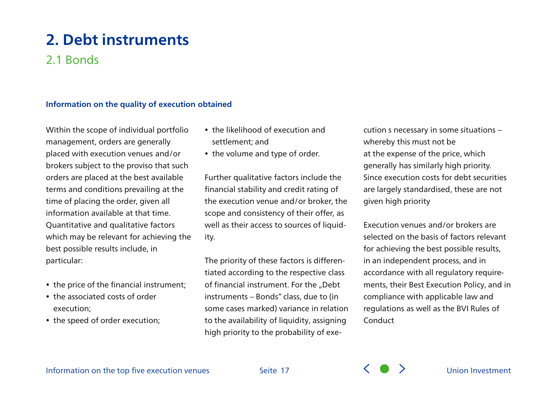### 2.1 Bonds

### **Information on the quality of execution obtained**

Within the scope of individual portfolio management, orders are generally placed with execution venues and/or brokers subject to the proviso that such orders are placed at the best available terms and conditions prevailing at the time of placing the order, given all information available at that time. Quantitative and qualitative factors which may be relevant for achieving the best possible results include, in particular:

- the price of the financial instrument;
- the associated costs of order execution;
- the speed of order execution;
- the likelihood of execution and settlement; and
- the volume and type of order.

Further qualitative factors include the financial stability and credit rating of the execution venue and/or broker, the scope and consistency of their offer, as well as their access to sources of liquidity.

The priority of these factors is differentiated according to the respective class of financial instrument. For the "Debt instruments – Bonds" class, due to (in some cases marked) variance in relation to the availability of liquidity, assigning high priority to the probability of execution s necessary in some situations – whereby this must not be at the expense of the price, which generally has similarly high priority. Since execution costs for debt securities are largely standardised, these are not given high priority

Execution venues and/or brokers are selected on the basis of factors relevant for achieving the best possible results, in an independent process, and in accordance with all regulatory requirements, their Best Execution Policy, and in compliance with applicable law and regulations as well as the BVI Rules of Conduct



Seite 17 (Seite 17 Metal 19 Metal 19 Metal 19 Metal 19 Metal 19 Metal 19 Metal 19 Metal 19 Metal 19 Metal 19 Metal 19 Metal 19 Metal 19 Metal 19 Metal 19 Metal 19 Metal 19 Metal 19 Metal 19 Metal 19 Metal 19 Metal 19 Metal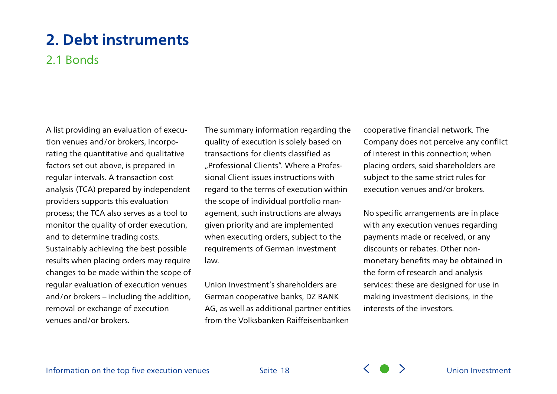### 2.1 Bonds

A list providing an evaluation of execution venues and/or brokers, incorporating the quantitative and qualitative factors set out above, is prepared in regular intervals. A transaction cost analysis (TCA) prepared by independent providers supports this evaluation process; the TCA also serves as a tool to monitor the quality of order execution, and to determine trading costs. Sustainably achieving the best possible results when placing orders may require changes to be made within the scope of regular evaluation of execution venues and/or brokers – including the addition, removal or exchange of execution venues and/or brokers.

The summary information regarding the quality of execution is solely based on transactions for clients classified as "Professional Clients". Where a Professional Client issues instructions with regard to the terms of execution within the scope of individual portfolio management, such instructions are always given priority and are implemented when executing orders, subject to the requirements of German investment law.

Union Investment's shareholders are German cooperative banks, DZ BANK AG, as well as additional partner entities from the Volksbanken Raiffeisenbanken

cooperative financial network. The Company does not perceive any conflict of interest in this connection; when placing orders, said shareholders are subject to the same strict rules for execution venues and/or brokers.

No specific arrangements are in place with any execution venues regarding payments made or received, or any discounts or rebates. Other nonmonetary benefits may be obtained in the form of research and analysis services: these are designed for use in making investment decisions, in the interests of the investors.

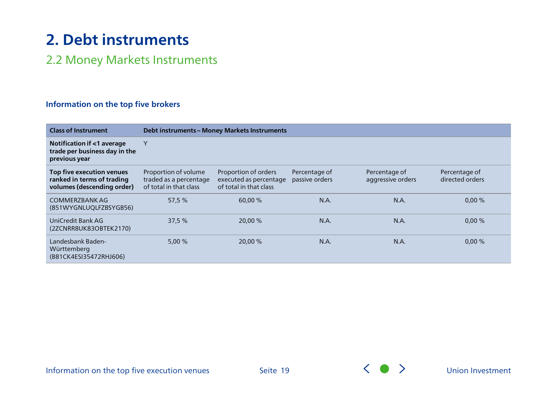### <span id="page-18-0"></span>2.2 Money Markets Instruments

#### **Information on the top five brokers**

| <b>Class of Instrument</b>                                                            |                                                                          | <b>Debt instruments - Money Markets Instruments</b>                      |                                 |                                    |                                  |  |  |
|---------------------------------------------------------------------------------------|--------------------------------------------------------------------------|--------------------------------------------------------------------------|---------------------------------|------------------------------------|----------------------------------|--|--|
| Notification if <1 average<br>trade per business day in the<br>previous year          | Υ                                                                        |                                                                          |                                 |                                    |                                  |  |  |
| Top five execution venues<br>ranked in terms of trading<br>volumes (descending order) | Proportion of volume<br>traded as a percentage<br>of total in that class | Proportion of orders<br>executed as percentage<br>of total in that class | Percentage of<br>passive orders | Percentage of<br>aggressive orders | Percentage of<br>directed orders |  |  |
| COMMERZBANK AG<br>(851WYGNLUQLFZBSYGB56)                                              | 57,5 %                                                                   | 60,00 %                                                                  | N.A.                            | N.A.                               | 0,00%                            |  |  |
| UniCredit Bank AG<br>(2ZCNRR8UK83OBTEK2170)                                           | 37,5 %                                                                   | 20,00 %                                                                  | N.A.                            | N.A.                               | 0,00%                            |  |  |
| Landesbank Baden-<br>Württemberg<br>(B81CK4ESI35472RHJ606)                            | 5,00%                                                                    | 20,00 %                                                                  | N.A.                            | N.A.                               | 0,00%                            |  |  |

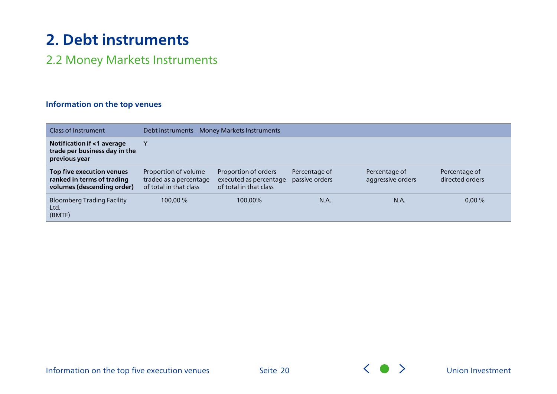### 2.2 Money Markets Instruments

### **Information on the top venues**

| Class of Instrument                                                                   | Debt instruments - Money Markets Instruments                             |                                                                          |                                 |                                    |                                  |  |
|---------------------------------------------------------------------------------------|--------------------------------------------------------------------------|--------------------------------------------------------------------------|---------------------------------|------------------------------------|----------------------------------|--|
| Notification if <1 average<br>trade per business day in the<br>previous year          | v                                                                        |                                                                          |                                 |                                    |                                  |  |
| Top five execution venues<br>ranked in terms of trading<br>volumes (descending order) | Proportion of volume<br>traded as a percentage<br>of total in that class | Proportion of orders<br>executed as percentage<br>of total in that class | Percentage of<br>passive orders | Percentage of<br>aggressive orders | Percentage of<br>directed orders |  |
| <b>Bloomberg Trading Facility</b><br>Ltd.<br>(BMTF)                                   | 100,00 %                                                                 | 100,00%                                                                  | N.A.                            | N.A.                               | 0,00%                            |  |



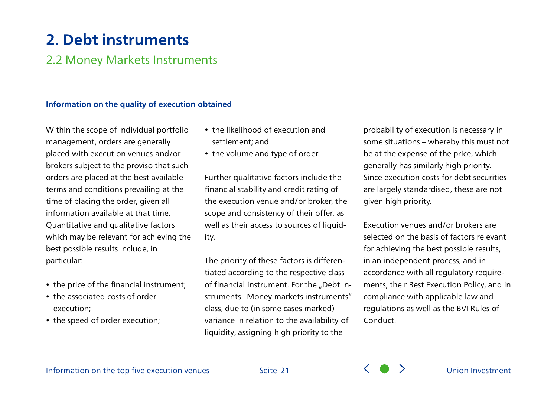### 2.2 Money Markets Instruments

#### **Information on the quality of execution obtained**

Within the scope of individual portfolio management, orders are generally placed with execution venues and/or brokers subject to the proviso that such orders are placed at the best available terms and conditions prevailing at the time of placing the order, given all information available at that time. Quantitative and qualitative factors which may be relevant for achieving the best possible results include, in particular:

- the price of the financial instrument;
- the associated costs of order execution;
- the speed of order execution;
- the likelihood of execution and settlement; and
- the volume and type of order.

Further qualitative factors include the financial stability and credit rating of the execution venue and/or broker, the scope and consistency of their offer, as well as their access to sources of liquidity.

The priority of these factors is differentiated according to the respective class of financial instrument. For the "Debt instruments–Money markets instruments" class, due to (in some cases marked) variance in relation to the availability of liquidity, assigning high priority to the

probability of execution is necessary in some situations – whereby this must not be at the expense of the price, which generally has similarly high priority. Since execution costs for debt securities are largely standardised, these are not given high priority.

Execution venues and/or brokers are selected on the basis of factors relevant for achieving the best possible results, in an independent process, and in accordance with all regulatory requirements, their Best Execution Policy, and in compliance with applicable law and regulations as well as the BVI Rules of Conduct.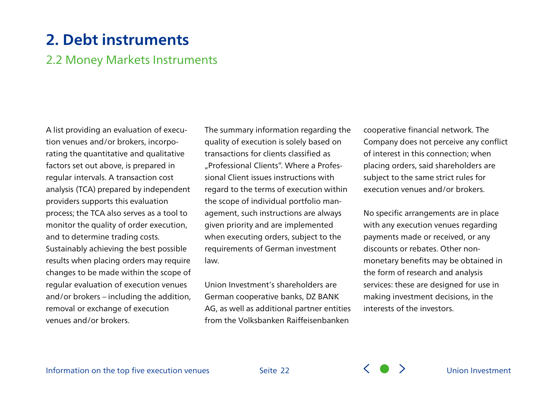### 2.2 Money Markets Instruments

A list providing an evaluation of execution venues and/or brokers, incorporating the quantitative and qualitative factors set out above, is prepared in regular intervals. A transaction cost analysis (TCA) prepared by independent providers supports this evaluation process; the TCA also serves as a tool to monitor the quality of order execution, and to determine trading costs. Sustainably achieving the best possible results when placing orders may require changes to be made within the scope of regular evaluation of execution venues and/or brokers – including the addition, removal or exchange of execution venues and/or brokers.

The summary information regarding the quality of execution is solely based on transactions for clients classified as "Professional Clients". Where a Professional Client issues instructions with regard to the terms of execution within the scope of individual portfolio management, such instructions are always given priority and are implemented when executing orders, subject to the requirements of German investment law.

Union Investment's shareholders are German cooperative banks, DZ BANK AG, as well as additional partner entities from the Volksbanken Raiffeisenbanken

cooperative financial network. The Company does not perceive any conflict of interest in this connection; when placing orders, said shareholders are subject to the same strict rules for execution venues and/or brokers.

No specific arrangements are in place with any execution venues regarding payments made or received, or any discounts or rebates. Other nonmonetary benefits may be obtained in the form of research and analysis services: these are designed for use in making investment decisions, in the interests of the investors.

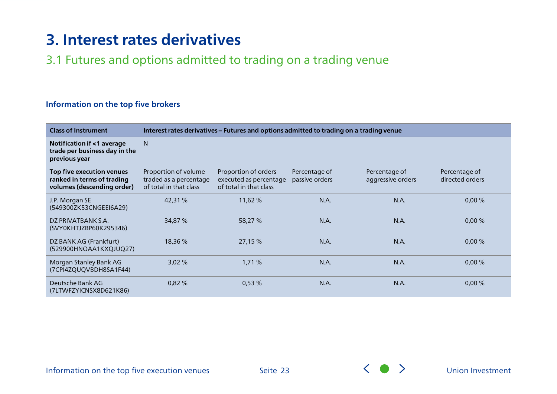### <span id="page-22-0"></span>3.1 Futures and options admitted to trading on a trading venue

### **Information on the top five brokers**

| <b>Class of Instrument</b>                                                            |                                                                          | Interest rates derivatives - Futures and options admitted to trading on a trading venue |                                 |                                    |                                  |  |  |
|---------------------------------------------------------------------------------------|--------------------------------------------------------------------------|-----------------------------------------------------------------------------------------|---------------------------------|------------------------------------|----------------------------------|--|--|
| Notification if <1 average<br>trade per business day in the<br>previous year          | N.                                                                       |                                                                                         |                                 |                                    |                                  |  |  |
| Top five execution venues<br>ranked in terms of trading<br>volumes (descending order) | Proportion of volume<br>traded as a percentage<br>of total in that class | Proportion of orders<br>executed as percentage<br>of total in that class                | Percentage of<br>passive orders | Percentage of<br>aggressive orders | Percentage of<br>directed orders |  |  |
| J.P. Morgan SE<br>(549300ZK53CNGEEI6A29)                                              | 42,31 %                                                                  | 11,62%                                                                                  | N.A.                            | N.A.                               | 0,00%                            |  |  |
| DZ PRIVATBANK S.A.<br>(SVY0KHTJZBP60K295346)                                          | 34,87 %                                                                  | 58,27 %                                                                                 | N.A.                            | N.A.                               | 0,00%                            |  |  |
| DZ BANK AG (Frankfurt)<br>(529900HNOAA1KXQJUQ27)                                      | 18,36 %                                                                  | 27,15 %                                                                                 | N.A.                            | N.A.                               | 0,00%                            |  |  |
| Morgan Stanley Bank AG<br>(7CPI4ZQUQVBDH8SA1F44)                                      | 3,02%                                                                    | 1,71%                                                                                   | N.A.                            | N.A.                               | $0,00\%$                         |  |  |
| Deutsche Bank AG<br>(7LTWFZYICNSX8D621K86)                                            | 0,82%                                                                    | 0,53%                                                                                   | N.A.                            | N.A.                               | 0,00%                            |  |  |

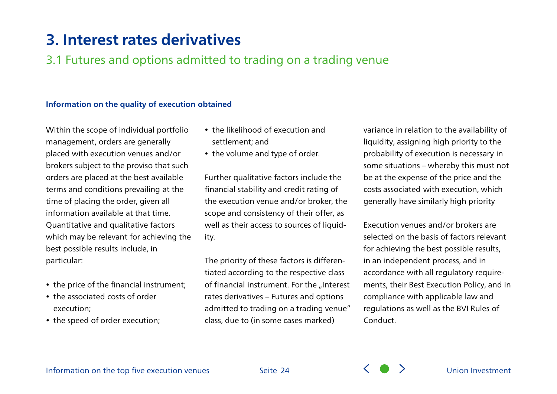### 3.1 Futures and options admitted to trading on a trading venue

#### **Information on the quality of execution obtained**

Within the scope of individual portfolio management, orders are generally placed with execution venues and/or brokers subject to the proviso that such orders are placed at the best available terms and conditions prevailing at the time of placing the order, given all information available at that time. Quantitative and qualitative factors which may be relevant for achieving the best possible results include, in particular:

- the price of the financial instrument;
- the associated costs of order execution;
- the speed of order execution;
- the likelihood of execution and settlement; and
- the volume and type of order.

Further qualitative factors include the financial stability and credit rating of the execution venue and/or broker, the scope and consistency of their offer, as well as their access to sources of liquidity.

The priority of these factors is differentiated according to the respective class of financial instrument. For the "Interest rates derivatives – Futures and options admitted to trading on a trading venue" class, due to (in some cases marked)

variance in relation to the availability of liquidity, assigning high priority to the probability of execution is necessary in some situations – whereby this must not be at the expense of the price and the costs associated with execution, which generally have similarly high priority

Execution venues and/or brokers are selected on the basis of factors relevant for achieving the best possible results, in an independent process, and in accordance with all regulatory requirements, their Best Execution Policy, and in compliance with applicable law and regulations as well as the BVI Rules of Conduct.

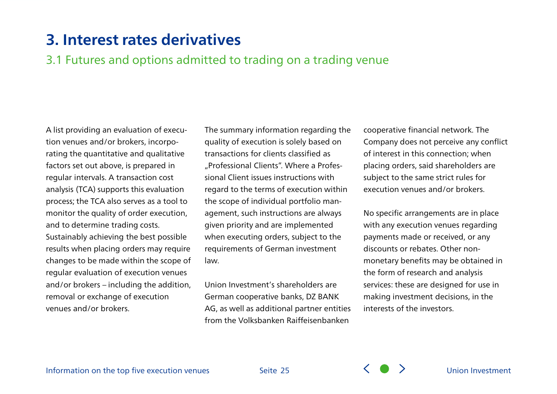3.1 Futures and options admitted to trading on a trading venue

A list providing an evaluation of execution venues and/or brokers, incorporating the quantitative and qualitative factors set out above, is prepared in regular intervals. A transaction cost analysis (TCA) supports this evaluation process; the TCA also serves as a tool to monitor the quality of order execution, and to determine trading costs. Sustainably achieving the best possible results when placing orders may require changes to be made within the scope of regular evaluation of execution venues and/or brokers – including the addition, removal or exchange of execution venues and/or brokers.

The summary information regarding the quality of execution is solely based on transactions for clients classified as "Professional Clients". Where a Professional Client issues instructions with regard to the terms of execution within the scope of individual portfolio management, such instructions are always given priority and are implemented when executing orders, subject to the requirements of German investment law.

Union Investment's shareholders are German cooperative banks, DZ BANK AG, as well as additional partner entities from the Volksbanken Raiffeisenbanken

cooperative financial network. The Company does not perceive any conflict of interest in this connection; when placing orders, said shareholders are subject to the same strict rules for execution venues and/or brokers.

No specific arrangements are in place with any execution venues regarding payments made or received, or any discounts or rebates. Other nonmonetary benefits may be obtained in the form of research and analysis services: these are designed for use in making investment decisions, in the interests of the investors.

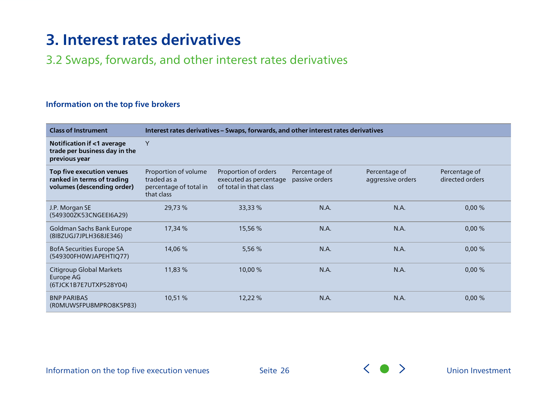### <span id="page-25-0"></span>3.2 Swaps, forwards, and other interest rates derivatives

#### **Information on the top five brokers**

| <b>Class of Instrument</b>                                                             |                                                                             | Interest rates derivatives - Swaps, forwards, and other interest rates derivatives |                                 |                                    |                                  |  |  |  |
|----------------------------------------------------------------------------------------|-----------------------------------------------------------------------------|------------------------------------------------------------------------------------|---------------------------------|------------------------------------|----------------------------------|--|--|--|
| <b>Notification if &lt;1 average</b><br>trade per business day in the<br>previous year | Y                                                                           |                                                                                    |                                 |                                    |                                  |  |  |  |
| Top five execution venues<br>ranked in terms of trading<br>volumes (descending order)  | Proportion of volume<br>traded as a<br>percentage of total in<br>that class | Proportion of orders<br>executed as percentage<br>of total in that class           | Percentage of<br>passive orders | Percentage of<br>aggressive orders | Percentage of<br>directed orders |  |  |  |
| J.P. Morgan SE<br>(549300ZK53CNGEEI6A29)                                               | 29,73 %                                                                     | 33,33 %                                                                            | N.A.                            | N.A.                               | 0,00%                            |  |  |  |
| Goldman Sachs Bank Europe<br>(8IBZUGJ7JPLH368JE346)                                    | 17,34 %                                                                     | 15,56 %                                                                            | N.A.                            | N.A.                               | 0,00%                            |  |  |  |
| <b>BofA Securities Europe SA</b><br>(549300FH0WJAPEHTIQ77)                             | 14,06 %                                                                     | 5,56 %                                                                             | N.A.                            | N.A.                               | 0,00%                            |  |  |  |
| Citigroup Global Markets<br>Europe AG<br>(6TJCK1B7E7UTXP528Y04)                        | 11,83 %                                                                     | 10,00 %                                                                            | N.A.                            | N.A.                               | 0,00%                            |  |  |  |
| <b>BNP PARIBAS</b><br>(ROMUWSFPU8MPRO8K5P83)                                           | 10,51 %                                                                     | 12,22 %                                                                            | N.A.                            | N.A.                               | 0,00%                            |  |  |  |

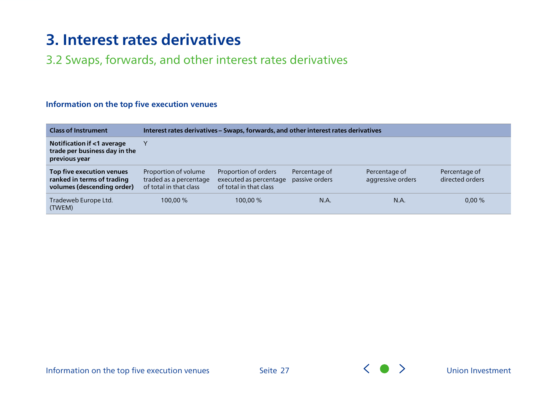### 3.2 Swaps, forwards, and other interest rates derivatives

| <b>Class of Instrument</b>                                                            | Interest rates derivatives - Swaps, forwards, and other interest rates derivatives |                                                                          |                                 |                                    |                                  |  |
|---------------------------------------------------------------------------------------|------------------------------------------------------------------------------------|--------------------------------------------------------------------------|---------------------------------|------------------------------------|----------------------------------|--|
| Notification if <1 average<br>trade per business day in the<br>previous year          |                                                                                    |                                                                          |                                 |                                    |                                  |  |
| Top five execution venues<br>ranked in terms of trading<br>volumes (descending order) | Proportion of volume<br>traded as a percentage<br>of total in that class           | Proportion of orders<br>executed as percentage<br>of total in that class | Percentage of<br>passive orders | Percentage of<br>aggressive orders | Percentage of<br>directed orders |  |
| Tradeweb Europe Ltd.<br>(TWEM)                                                        | 100.00 %                                                                           | 100,00 %                                                                 | N.A.                            | N.A.                               | 0,00%                            |  |

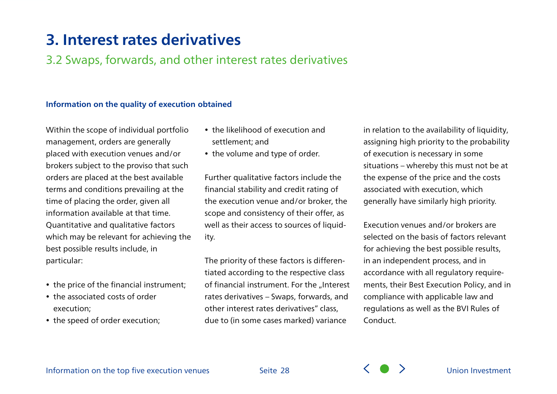3.2 Swaps, forwards, and other interest rates derivatives

#### **Information on the quality of execution obtained**

Within the scope of individual portfolio management, orders are generally placed with execution venues and/or brokers subject to the proviso that such orders are placed at the best available terms and conditions prevailing at the time of placing the order, given all information available at that time. Quantitative and qualitative factors which may be relevant for achieving the best possible results include, in particular:

- the price of the financial instrument;
- the associated costs of order execution;
- the speed of order execution;
- the likelihood of execution and settlement; and
- the volume and type of order.

Further qualitative factors include the financial stability and credit rating of the execution venue and/or broker, the scope and consistency of their offer, as well as their access to sources of liquidity.

The priority of these factors is differentiated according to the respective class of financial instrument. For the "Interest rates derivatives – Swaps, forwards, and other interest rates derivatives" class, due to (in some cases marked) variance

in relation to the availability of liquidity, assigning high priority to the probability of execution is necessary in some situations – whereby this must not be at the expense of the price and the costs associated with execution, which generally have similarly high priority.

Execution venues and/or brokers are selected on the basis of factors relevant for achieving the best possible results, in an independent process, and in accordance with all regulatory requirements, their Best Execution Policy, and in compliance with applicable law and regulations as well as the BVI Rules of Conduct.



Seite 28  $\left\langle \begin{array}{c} \searrow \\ \searrow \end{array} \right\rangle$  [Union Investment](#page-0-0)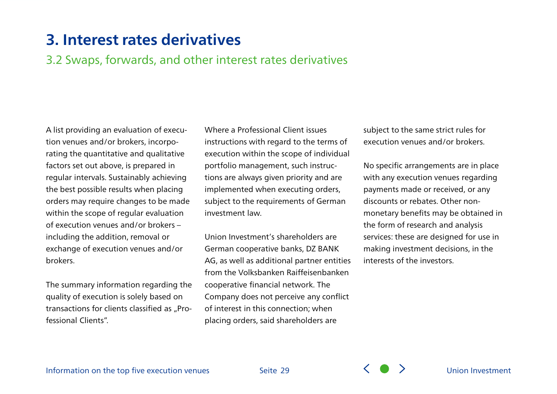3.2 Swaps, forwards, and other interest rates derivatives

A list providing an evaluation of execution venues and/or brokers, incorporating the quantitative and qualitative factors set out above, is prepared in regular intervals. Sustainably achieving the best possible results when placing orders may require changes to be made within the scope of regular evaluation of execution venues and/or brokers – including the addition, removal or exchange of execution venues and/or brokers.

The summary information regarding the quality of execution is solely based on transactions for clients classified as "Professional Clients".

Where a Professional Client issues instructions with regard to the terms of execution within the scope of individual portfolio management, such instructions are always given priority and are implemented when executing orders, subject to the requirements of German investment law.

Union Investment's shareholders are German cooperative banks, DZ BANK AG, as well as additional partner entities from the Volksbanken Raiffeisenbanken cooperative financial network. The Company does not perceive any conflict of interest in this connection; when placing orders, said shareholders are

subject to the same strict rules for execution venues and/or brokers.

No specific arrangements are in place with any execution venues regarding payments made or received, or any discounts or rebates. Other nonmonetary benefits may be obtained in the form of research and analysis services: these are designed for use in making investment decisions, in the interests of the investors.

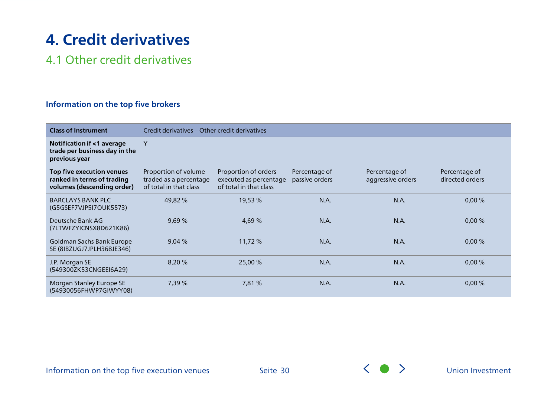### <span id="page-29-0"></span>4.1 Other credit derivatives

### **Information on the top five brokers**

| <b>Class of Instrument</b>                                                            |                                                                          | Credit derivatives – Other credit derivatives                            |                                 |                                    |                                  |  |  |  |
|---------------------------------------------------------------------------------------|--------------------------------------------------------------------------|--------------------------------------------------------------------------|---------------------------------|------------------------------------|----------------------------------|--|--|--|
| Notification if <1 average<br>trade per business day in the<br>previous year          | Y                                                                        |                                                                          |                                 |                                    |                                  |  |  |  |
| Top five execution venues<br>ranked in terms of trading<br>volumes (descending order) | Proportion of volume<br>traded as a percentage<br>of total in that class | Proportion of orders<br>executed as percentage<br>of total in that class | Percentage of<br>passive orders | Percentage of<br>aggressive orders | Percentage of<br>directed orders |  |  |  |
| <b>BARCLAYS BANK PLC</b><br>(G5GSEF7VJP5I7OUK5573)                                    | 49,82 %                                                                  | 19,53 %                                                                  | N.A.                            | N.A.                               | 0,00%                            |  |  |  |
| Deutsche Bank AG<br>(7LTWFZYICNSX8D621K86)                                            | 9,69 %                                                                   | 4,69 %                                                                   | N.A.                            | N.A.                               | 0,00%                            |  |  |  |
| Goldman Sachs Bank Europe<br>SE (8IBZUGJ7JPLH368JE346)                                | 9,04%                                                                    | 11,72%                                                                   | N.A.                            | N.A.                               | 0,00%                            |  |  |  |
| J.P. Morgan SE<br>(549300ZK53CNGEEI6A29)                                              | 8,20 %                                                                   | 25,00 %                                                                  | N.A.                            | N.A.                               | 0,00%                            |  |  |  |
| Morgan Stanley Europe SE<br>(54930056FHWP7GIWYY08)                                    | 7,39 %                                                                   | 7,81 %                                                                   | N.A.                            | N.A.                               | 0,00%                            |  |  |  |

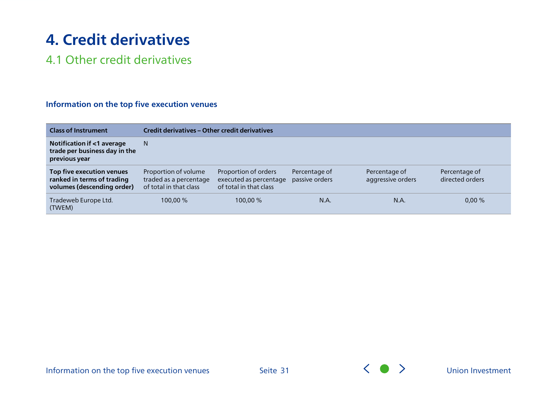### 4.1 Other credit derivatives

| <b>Class of Instrument</b>                                                             | Credit derivatives – Other credit derivatives                            |                                                                          |                                 |                                    |                                  |  |  |
|----------------------------------------------------------------------------------------|--------------------------------------------------------------------------|--------------------------------------------------------------------------|---------------------------------|------------------------------------|----------------------------------|--|--|
| <b>Notification if &lt;1 average</b><br>trade per business day in the<br>previous year | N                                                                        |                                                                          |                                 |                                    |                                  |  |  |
| Top five execution venues<br>ranked in terms of trading<br>volumes (descending order)  | Proportion of volume<br>traded as a percentage<br>of total in that class | Proportion of orders<br>executed as percentage<br>of total in that class | Percentage of<br>passive orders | Percentage of<br>aggressive orders | Percentage of<br>directed orders |  |  |
| Tradeweb Europe Ltd.<br>(TWEM)                                                         | 100,00 %                                                                 | 100,00 %                                                                 | N.A.                            | N.A.                               | 0,00%                            |  |  |

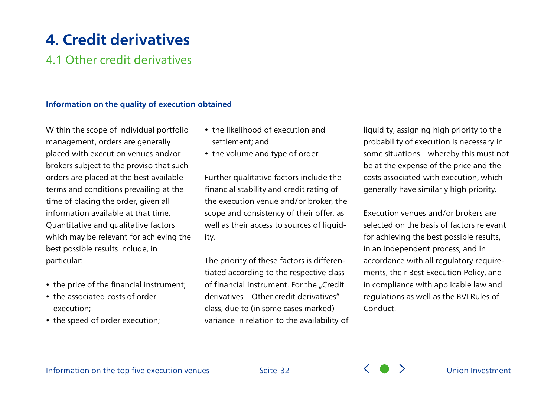### 4.1 Other credit derivatives

#### **Information on the quality of execution obtained**

Within the scope of individual portfolio management, orders are generally placed with execution venues and/or brokers subject to the proviso that such orders are placed at the best available terms and conditions prevailing at the time of placing the order, given all information available at that time. Quantitative and qualitative factors which may be relevant for achieving the best possible results include, in particular:

- the price of the financial instrument;
- the associated costs of order execution;
- the speed of order execution;
- the likelihood of execution and settlement; and
- the volume and type of order.

Further qualitative factors include the financial stability and credit rating of the execution venue and/or broker, the scope and consistency of their offer, as well as their access to sources of liquidity.

The priority of these factors is differentiated according to the respective class of financial instrument. For the "Credit derivatives – Other credit derivatives" class, due to (in some cases marked) variance in relation to the availability of

liquidity, assigning high priority to the probability of execution is necessary in some situations – whereby this must not be at the expense of the price and the costs associated with execution, which generally have similarly high priority.

Execution venues and/or brokers are selected on the basis of factors relevant for achieving the best possible results, in an independent process, and in accordance with all regulatory requirements, their Best Execution Policy, and in compliance with applicable law and regulations as well as the BVI Rules of Conduct.



Seite 32  $\left\langle \begin{array}{c} \searrow \end{array} \right\rangle$  [Union Investment](#page-0-0)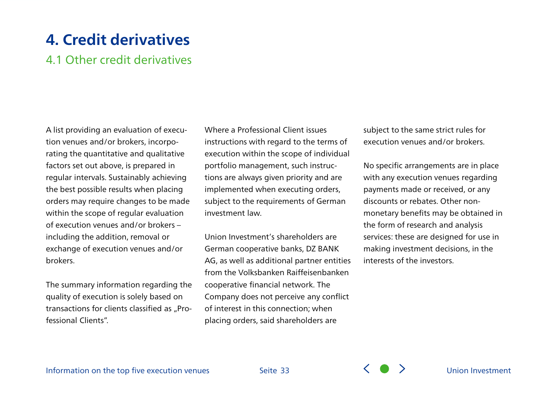### 4.1 Other credit derivatives

A list providing an evaluation of execution venues and/or brokers, incorporating the quantitative and qualitative factors set out above, is prepared in regular intervals. Sustainably achieving the best possible results when placing orders may require changes to be made within the scope of regular evaluation of execution venues and/or brokers – including the addition, removal or exchange of execution venues and/or brokers.

The summary information regarding the quality of execution is solely based on transactions for clients classified as "Professional Clients".

Where a Professional Client issues instructions with regard to the terms of execution within the scope of individual portfolio management, such instructions are always given priority and are implemented when executing orders, subject to the requirements of German investment law.

Union Investment's shareholders are German cooperative banks, DZ BANK AG, as well as additional partner entities from the Volksbanken Raiffeisenbanken cooperative financial network. The Company does not perceive any conflict of interest in this connection; when placing orders, said shareholders are

subject to the same strict rules for execution venues and/or brokers.

No specific arrangements are in place with any execution venues regarding payments made or received, or any discounts or rebates. Other nonmonetary benefits may be obtained in the form of research and analysis services: these are designed for use in making investment decisions, in the interests of the investors.

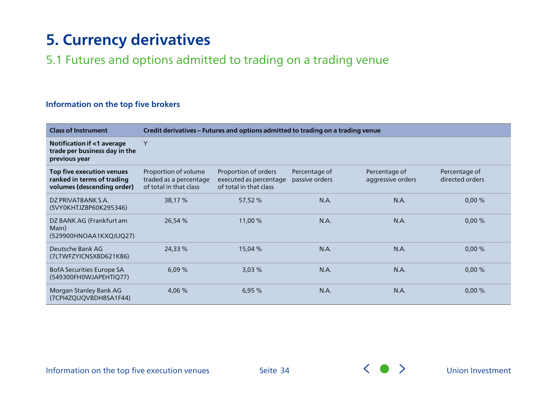### <span id="page-33-0"></span>5.1 Futures and options admitted to trading on a trading venue

#### **Information on the top five brokers**

| <b>Class of Instrument</b>                                                            |                                                                          | Credit derivatives - Futures and options admitted to trading on a trading venue |                                 |                                    |                                  |  |  |
|---------------------------------------------------------------------------------------|--------------------------------------------------------------------------|---------------------------------------------------------------------------------|---------------------------------|------------------------------------|----------------------------------|--|--|
| Notification if <1 average<br>trade per business day in the<br>previous year          | Y                                                                        |                                                                                 |                                 |                                    |                                  |  |  |
| Top five execution venues<br>ranked in terms of trading<br>volumes (descending order) | Proportion of volume<br>traded as a percentage<br>of total in that class | Proportion of orders<br>executed as percentage<br>of total in that class        | Percentage of<br>passive orders | Percentage of<br>aggressive orders | Percentage of<br>directed orders |  |  |
| DZ PRIVATBANK S.A.<br>(SVY0KHTJZBP60K295346)                                          | 38,17 %                                                                  | 57,52 %                                                                         | N.A.                            | N.A.                               | 0,00%                            |  |  |
| DZ BANK AG (Frankfurt am<br>Main)<br>(529900HNOAA1KXQJUQ27)                           | 26,54 %                                                                  | 11,00 %                                                                         | N.A.                            | N.A.                               | 0,00%                            |  |  |
| Deutsche Bank AG<br>(7LTWFZYICNSX8D621K86)                                            | 24,33 %                                                                  | 15,04 %                                                                         | N.A.                            | N.A.                               | 0,00%                            |  |  |
| BofA Securities Europe SA<br>(549300FH0WJAPEHTIQ77)                                   | 6,09%                                                                    | 3,03%                                                                           | N.A.                            | N.A.                               | 0,00%                            |  |  |
| Morgan Stanley Bank AG<br>(7CPI4ZQUQVBDH8SA1F44)                                      | 4,06 %                                                                   | 6,95%                                                                           | N.A.                            | N.A.                               | 0,00%                            |  |  |

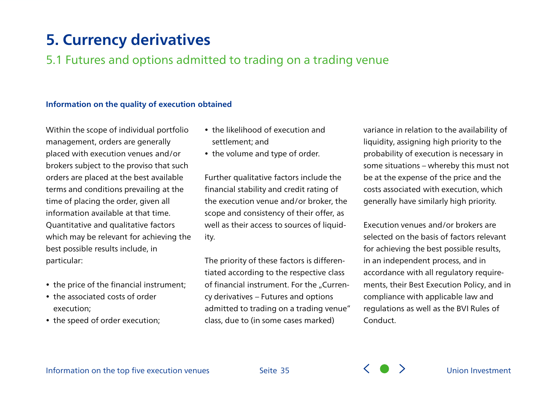### 5.1 Futures and options admitted to trading on a trading venue

#### **Information on the quality of execution obtained**

Within the scope of individual portfolio management, orders are generally placed with execution venues and/or brokers subject to the proviso that such orders are placed at the best available terms and conditions prevailing at the time of placing the order, given all information available at that time. Quantitative and qualitative factors which may be relevant for achieving the best possible results include, in particular:

- the price of the financial instrument;
- the associated costs of order execution;
- the speed of order execution;
- the likelihood of execution and settlement; and
- the volume and type of order.

Further qualitative factors include the financial stability and credit rating of the execution venue and/or broker, the scope and consistency of their offer, as well as their access to sources of liquidity.

The priority of these factors is differentiated according to the respective class of financial instrument. For the "Currency derivatives – Futures and options admitted to trading on a trading venue" class, due to (in some cases marked)

variance in relation to the availability of liquidity, assigning high priority to the probability of execution is necessary in some situations – whereby this must not be at the expense of the price and the costs associated with execution, which generally have similarly high priority.

Execution venues and/or brokers are selected on the basis of factors relevant for achieving the best possible results, in an independent process, and in accordance with all regulatory requirements, their Best Execution Policy, and in compliance with applicable law and regulations as well as the BVI Rules of Conduct.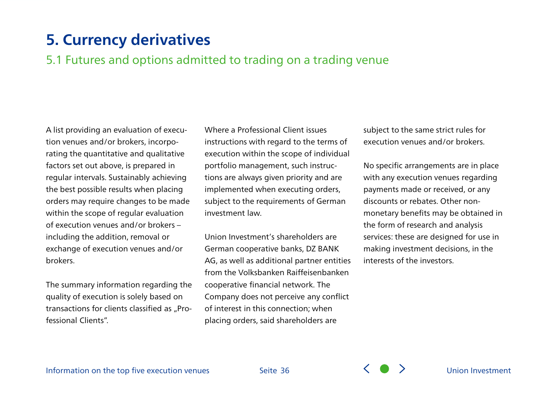### 5.1 Futures and options admitted to trading on a trading venue

A list providing an evaluation of execution venues and/or brokers, incorporating the quantitative and qualitative factors set out above, is prepared in regular intervals. Sustainably achieving the best possible results when placing orders may require changes to be made within the scope of regular evaluation of execution venues and/or brokers – including the addition, removal or exchange of execution venues and/or brokers.

The summary information regarding the quality of execution is solely based on transactions for clients classified as "Professional Clients".

Where a Professional Client issues instructions with regard to the terms of execution within the scope of individual portfolio management, such instructions are always given priority and are implemented when executing orders, subject to the requirements of German investment law.

Union Investment's shareholders are German cooperative banks, DZ BANK AG, as well as additional partner entities from the Volksbanken Raiffeisenbanken cooperative financial network. The Company does not perceive any conflict of interest in this connection; when placing orders, said shareholders are

subject to the same strict rules for execution venues and/or brokers.

No specific arrangements are in place with any execution venues regarding payments made or received, or any discounts or rebates. Other nonmonetary benefits may be obtained in the form of research and analysis services: these are designed for use in making investment decisions, in the interests of the investors.

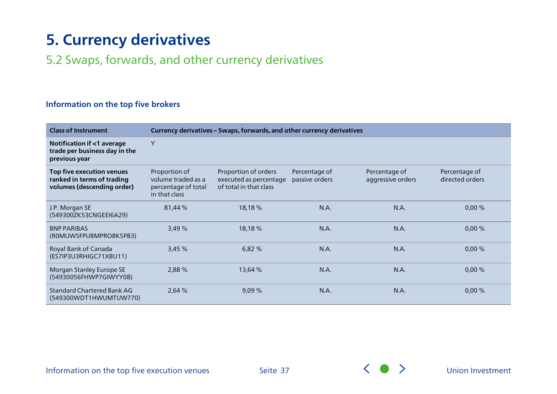### <span id="page-36-0"></span>5.2 Swaps, forwards, and other currency derivatives

#### **Information on the top five brokers**

| <b>Class of Instrument</b>                                                            |                                                                             | Currency derivatives - Swaps, forwards, and other currency derivatives   |                                 |                                    |                                  |  |  |
|---------------------------------------------------------------------------------------|-----------------------------------------------------------------------------|--------------------------------------------------------------------------|---------------------------------|------------------------------------|----------------------------------|--|--|
| Notification if <1 average<br>trade per business day in the<br>previous year          | Y                                                                           |                                                                          |                                 |                                    |                                  |  |  |
| Top five execution venues<br>ranked in terms of trading<br>volumes (descending order) | Proportion of<br>volume traded as a<br>percentage of total<br>in that class | Proportion of orders<br>executed as percentage<br>of total in that class | Percentage of<br>passive orders | Percentage of<br>aggressive orders | Percentage of<br>directed orders |  |  |
| J.P. Morgan SE<br>(549300ZK53CNGEEI6A29)                                              | 81,44 %                                                                     | 18,18 %                                                                  | N.A.                            | N.A.                               | 0,00%                            |  |  |
| <b>BNP PARIBAS</b><br>(ROMUWSFPU8MPRO8K5P83)                                          | 3,49 %                                                                      | 18,18 %                                                                  | N.A.                            | N.A.                               | 0,00%                            |  |  |
| Royal Bank of Canada<br>(ES7IP3U3RHIGC71XBU11)                                        | 3,45 %                                                                      | 6,82 %                                                                   | N.A.                            | N.A.                               | 0,00%                            |  |  |
| Morgan Stanley Europe SE<br>(54930056FHWP7GIWYY08)                                    | 2,88 %                                                                      | 13,64 %                                                                  | N.A.                            | N.A.                               | 0,00%                            |  |  |
| <b>Standard Chartered Bank AG</b><br>(549300WDT1HWUMTUW770)                           | 2,64 %                                                                      | 9,09%                                                                    | N.A.                            | N.A.                               | 0,00%                            |  |  |

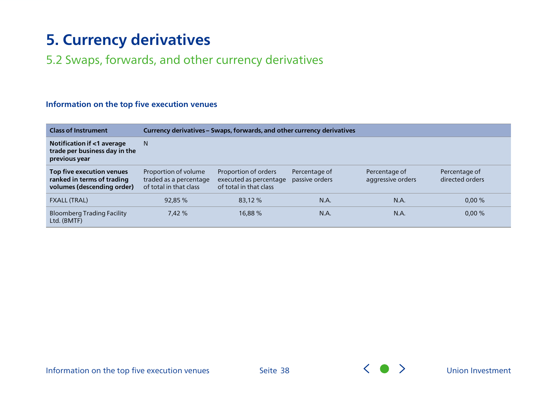### 5.2 Swaps, forwards, and other currency derivatives

| <b>Class of Instrument</b>                                                            |                                                                          | Currency derivatives - Swaps, forwards, and other currency derivatives   |                                 |                                    |                                  |  |  |  |
|---------------------------------------------------------------------------------------|--------------------------------------------------------------------------|--------------------------------------------------------------------------|---------------------------------|------------------------------------|----------------------------------|--|--|--|
| Notification if <1 average<br>trade per business day in the<br>previous year          | N.                                                                       |                                                                          |                                 |                                    |                                  |  |  |  |
| Top five execution venues<br>ranked in terms of trading<br>volumes (descending order) | Proportion of volume<br>traded as a percentage<br>of total in that class | Proportion of orders<br>executed as percentage<br>of total in that class | Percentage of<br>passive orders | Percentage of<br>aggressive orders | Percentage of<br>directed orders |  |  |  |
| <b>FXALL (TRAL)</b>                                                                   | 92,85 %                                                                  | 83.12 %                                                                  | N.A.                            | N.A.                               | $0.00 \%$                        |  |  |  |
| <b>Bloomberg Trading Facility</b><br>Ltd. (BMTF)                                      | 7,42 %                                                                   | 16,88%                                                                   | N.A.                            | N.A.                               | 0,00%                            |  |  |  |

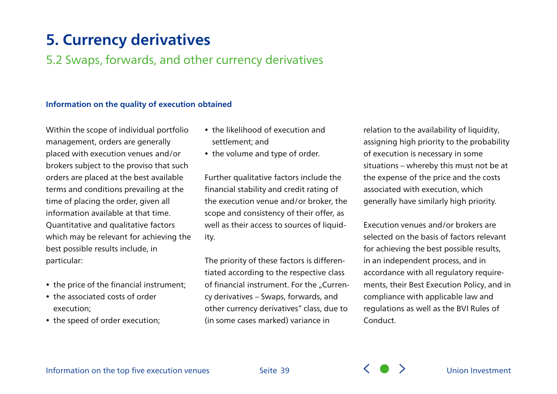### 5.2 Swaps, forwards, and other currency derivatives

#### **Information on the quality of execution obtained**

Within the scope of individual portfolio management, orders are generally placed with execution venues and/or brokers subject to the proviso that such orders are placed at the best available terms and conditions prevailing at the time of placing the order, given all information available at that time. Quantitative and qualitative factors which may be relevant for achieving the best possible results include, in particular:

- the price of the financial instrument;
- the associated costs of order execution;
- the speed of order execution;
- the likelihood of execution and settlement; and
- the volume and type of order.

Further qualitative factors include the financial stability and credit rating of the execution venue and/or broker, the scope and consistency of their offer, as well as their access to sources of liquidity.

The priority of these factors is differentiated according to the respective class of financial instrument. For the "Currency derivatives – Swaps, forwards, and other currency derivatives" class, due to (in some cases marked) variance in

relation to the availability of liquidity, assigning high priority to the probability of execution is necessary in some situations – whereby this must not be at the expense of the price and the costs associated with execution, which generally have similarly high priority.

Execution venues and/or brokers are selected on the basis of factors relevant for achieving the best possible results, in an independent process, and in accordance with all regulatory requirements, their Best Execution Policy, and in compliance with applicable law and regulations as well as the BVI Rules of Conduct.

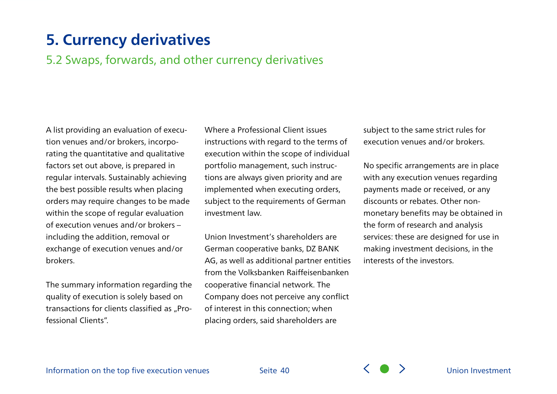### 5.2 Swaps, forwards, and other currency derivatives

A list providing an evaluation of execution venues and/or brokers, incorporating the quantitative and qualitative factors set out above, is prepared in regular intervals. Sustainably achieving the best possible results when placing orders may require changes to be made within the scope of regular evaluation of execution venues and/or brokers – including the addition, removal or exchange of execution venues and/or brokers.

The summary information regarding the quality of execution is solely based on transactions for clients classified as "Professional Clients".

Where a Professional Client issues instructions with regard to the terms of execution within the scope of individual portfolio management, such instructions are always given priority and are implemented when executing orders, subject to the requirements of German investment law.

Union Investment's shareholders are German cooperative banks, DZ BANK AG, as well as additional partner entities from the Volksbanken Raiffeisenbanken cooperative financial network. The Company does not perceive any conflict of interest in this connection; when placing orders, said shareholders are

subject to the same strict rules for execution venues and/or brokers.

No specific arrangements are in place with any execution venues regarding payments made or received, or any discounts or rebates. Other nonmonetary benefits may be obtained in the form of research and analysis services: these are designed for use in making investment decisions, in the interests of the investors.



Seite 40 Seite [Union Investment](#page-0-0)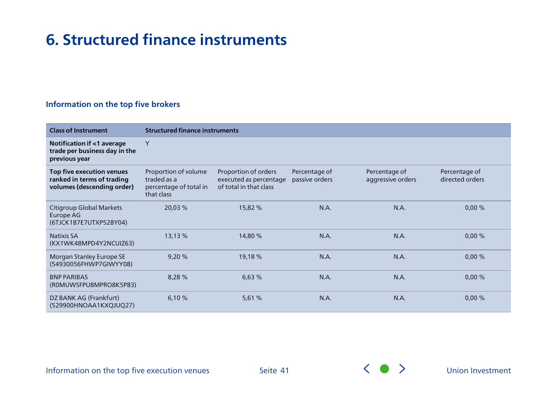#### <span id="page-40-0"></span>**Information on the top five brokers**

| <b>Class of Instrument</b>                                                            |                                                                             | <b>Structured finance instruments</b>                                    |                                 |                                    |                                  |  |  |  |
|---------------------------------------------------------------------------------------|-----------------------------------------------------------------------------|--------------------------------------------------------------------------|---------------------------------|------------------------------------|----------------------------------|--|--|--|
| Notification if <1 average<br>trade per business day in the<br>previous year          | Y                                                                           |                                                                          |                                 |                                    |                                  |  |  |  |
| Top five execution venues<br>ranked in terms of trading<br>volumes (descending order) | Proportion of volume<br>traded as a<br>percentage of total in<br>that class | Proportion of orders<br>executed as percentage<br>of total in that class | Percentage of<br>passive orders | Percentage of<br>aggressive orders | Percentage of<br>directed orders |  |  |  |
| Citigroup Global Markets<br>Europe AG<br>(6TJCK1B7E7UTXP528Y04)                       | 20,03 %                                                                     | 15,82 %                                                                  | N.A.                            | N.A.                               | 0,00%                            |  |  |  |
| <b>Natixis SA</b><br>(KX1WK48MPD4Y2NCUIZ63)                                           | 13,13 %                                                                     | 14,80 %                                                                  | N.A.                            | N.A.                               | 0,00%                            |  |  |  |
| Morgan Stanley Europe SE<br>(54930056FHWP7GIWYY08)                                    | 9,20 %                                                                      | 19,18 %                                                                  | N.A.                            | N.A.                               | 0,00%                            |  |  |  |
| <b>BNP PARIBAS</b><br>(ROMUWSFPU8MPRO8K5P83)                                          | 8,28 %                                                                      | 6,63%                                                                    | N.A.                            | N.A.                               | 0,00%                            |  |  |  |
| DZ BANK AG (Frankfurt)<br>(529900HNOAA1KXQJUQ27)                                      | 6,10 %                                                                      | 5,61 %                                                                   | N.A.                            | N.A.                               | 0,00%                            |  |  |  |

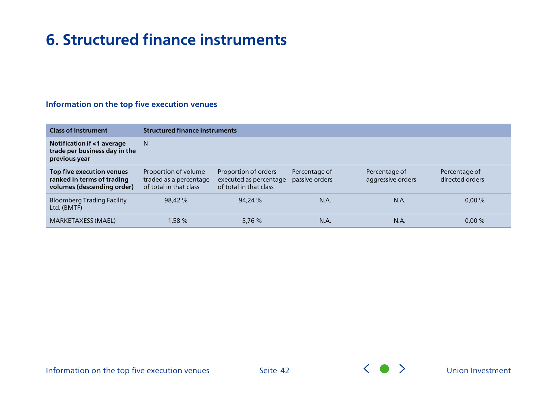| <b>Class of Instrument</b>                                                            |                                                                          | <b>Structured finance instruments</b>                                    |                                 |                                    |                                  |  |  |  |  |
|---------------------------------------------------------------------------------------|--------------------------------------------------------------------------|--------------------------------------------------------------------------|---------------------------------|------------------------------------|----------------------------------|--|--|--|--|
| Notification if <1 average<br>trade per business day in the<br>previous year          | N.                                                                       |                                                                          |                                 |                                    |                                  |  |  |  |  |
| Top five execution venues<br>ranked in terms of trading<br>volumes (descending order) | Proportion of volume<br>traded as a percentage<br>of total in that class | Proportion of orders<br>executed as percentage<br>of total in that class | Percentage of<br>passive orders | Percentage of<br>aggressive orders | Percentage of<br>directed orders |  |  |  |  |
| <b>Bloomberg Trading Facility</b><br>Ltd. (BMTF)                                      | 98,42 %                                                                  | 94,24 %                                                                  | N.A.                            | N.A.                               | 0,00%                            |  |  |  |  |
| <b>MARKETAXESS (MAEL)</b>                                                             | 1,58 %                                                                   | 5,76 %                                                                   | N.A                             | N.A.                               | 0,00%                            |  |  |  |  |

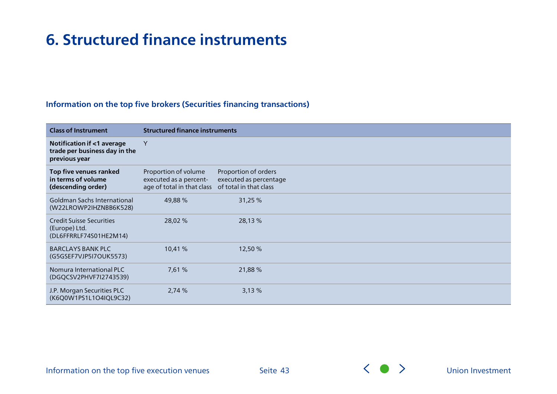#### **Information on the top five brokers (Securities financing transactions)**

| <b>Class of Instrument</b>                                                   | <b>Structured finance instruments</b>                                                               |                                                |  |  |  |
|------------------------------------------------------------------------------|-----------------------------------------------------------------------------------------------------|------------------------------------------------|--|--|--|
| Notification if <1 average<br>trade per business day in the<br>previous year | Y                                                                                                   |                                                |  |  |  |
| Top five venues ranked<br>in terms of volume<br>(descending order)           | Proportion of volume<br>executed as a percent-<br>age of total in that class of total in that class | Proportion of orders<br>executed as percentage |  |  |  |
| <b>Goldman Sachs International</b><br>(W22LROWP2IHZNBB6K528)                 | 49,88 %                                                                                             | 31,25 %                                        |  |  |  |
| <b>Credit Suisse Securities</b><br>(Europe) Ltd.<br>(DL6FFRRLF74S01HE2M14)   | 28,02 %                                                                                             | 28,13 %                                        |  |  |  |
| <b>BARCLAYS BANK PLC</b><br>(G5GSEF7VJP5I7OUK5573)                           | 10,41 %                                                                                             | 12,50 %                                        |  |  |  |
| Nomura International PLC<br>(DGQCSV2PHVF7I2743539)                           | 7,61 %                                                                                              | 21,88%                                         |  |  |  |
| J.P. Morgan Securities PLC<br>(K6Q0W1PS1L1O4IQL9C32)                         | 2,74 %                                                                                              | 3,13%                                          |  |  |  |

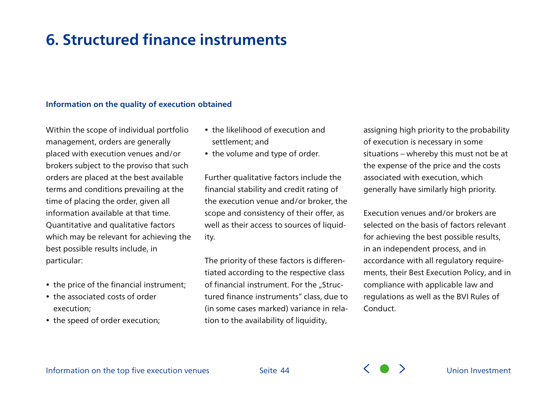#### **Information on the quality of execution obtained**

Within the scope of individual portfolio management, orders are generally placed with execution venues and/or brokers subject to the proviso that such orders are placed at the best available terms and conditions prevailing at the time of placing the order, given all information available at that time. Quantitative and qualitative factors which may be relevant for achieving the best possible results include, in particular:

- the price of the financial instrument;
- the associated costs of order execution;
- the speed of order execution;
- the likelihood of execution and settlement; and
- the volume and type of order.

Further qualitative factors include the financial stability and credit rating of the execution venue and/or broker, the scope and consistency of their offer, as well as their access to sources of liquidity.

The priority of these factors is differentiated according to the respective class of financial instrument. For the "Structured finance instruments" class, due to (in some cases marked) variance in relation to the availability of liquidity,

assigning high priority to the probability of execution is necessary in some situations – whereby this must not be at the expense of the price and the costs associated with execution, which generally have similarly high priority.

Execution venues and/or brokers are selected on the basis of factors relevant for achieving the best possible results, in an independent process, and in accordance with all regulatory requirements, their Best Execution Policy, and in compliance with applicable law and regulations as well as the BVI Rules of Conduct.

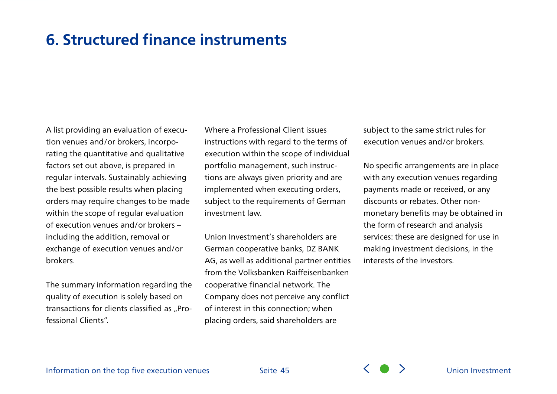A list providing an evaluation of execution venues and/or brokers, incorporating the quantitative and qualitative factors set out above, is prepared in regular intervals. Sustainably achieving the best possible results when placing orders may require changes to be made within the scope of regular evaluation of execution venues and/or brokers – including the addition, removal or exchange of execution venues and/or brokers.

The summary information regarding the quality of execution is solely based on transactions for clients classified as "Professional Clients".

Where a Professional Client issues instructions with regard to the terms of execution within the scope of individual portfolio management, such instructions are always given priority and are implemented when executing orders, subject to the requirements of German investment law.

Union Investment's shareholders are German cooperative banks, DZ BANK AG, as well as additional partner entities from the Volksbanken Raiffeisenbanken cooperative financial network. The Company does not perceive any conflict of interest in this connection; when placing orders, said shareholders are

subject to the same strict rules for execution venues and/or brokers.

No specific arrangements are in place with any execution venues regarding payments made or received, or any discounts or rebates. Other nonmonetary benefits may be obtained in the form of research and analysis services: these are designed for use in making investment decisions, in the interests of the investors.



Seite 45  $\left\langle \begin{array}{c} \searrow \\ \searrow \end{array} \right\rangle$  [Union Investment](#page-0-0)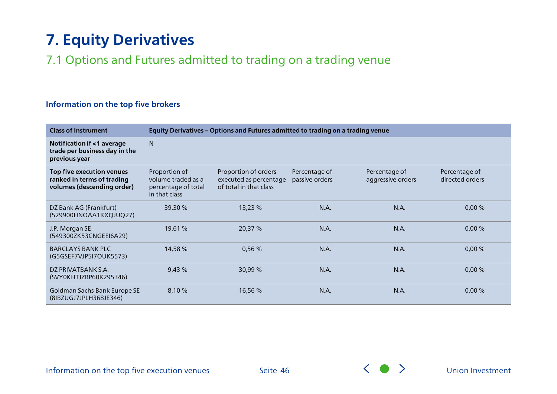## <span id="page-45-0"></span>**7. Equity Derivatives**

### 7.1 Options and Futures admitted to trading on a trading venue

#### **Information on the top five brokers**

| <b>Class of Instrument</b>                                                            | Equity Derivatives - Options and Futures admitted to trading on a trading venue |                                                                          |                                 |                                    |                                  |  |
|---------------------------------------------------------------------------------------|---------------------------------------------------------------------------------|--------------------------------------------------------------------------|---------------------------------|------------------------------------|----------------------------------|--|
| Notification if <1 average<br>trade per business day in the<br>previous year          | N                                                                               |                                                                          |                                 |                                    |                                  |  |
| Top five execution venues<br>ranked in terms of trading<br>volumes (descending order) | Proportion of<br>volume traded as a<br>percentage of total<br>in that class     | Proportion of orders<br>executed as percentage<br>of total in that class | Percentage of<br>passive orders | Percentage of<br>aggressive orders | Percentage of<br>directed orders |  |
| DZ Bank AG (Frankfurt)<br>(529900HNOAA1KXQJUQ27)                                      | 39,30 %                                                                         | 13,23 %                                                                  | N.A.                            | N.A.                               | 0,00%                            |  |
| J.P. Morgan SE<br>(549300ZK53CNGEEI6A29)                                              | 19,61 %                                                                         | 20,37 %                                                                  | N.A.                            | N.A.                               | 0,00%                            |  |
| <b>BARCLAYS BANK PLC</b><br>(G5GSEF7VJP5I7OUK5573)                                    | 14,58 %                                                                         | 0,56%                                                                    | N.A.                            | N.A.                               | 0,00%                            |  |
| DZ PRIVATBANK S.A.<br>(SVY0KHTJZBP60K295346)                                          | 9,43%                                                                           | 30,99 %                                                                  | N.A.                            | N.A.                               | 0,00%                            |  |
| Goldman Sachs Bank Europe SE<br>(8IBZUGJ7JPLH368JE346)                                | 8,10 %                                                                          | 16,56 %                                                                  | N.A.                            | N.A.                               | 0,00%                            |  |

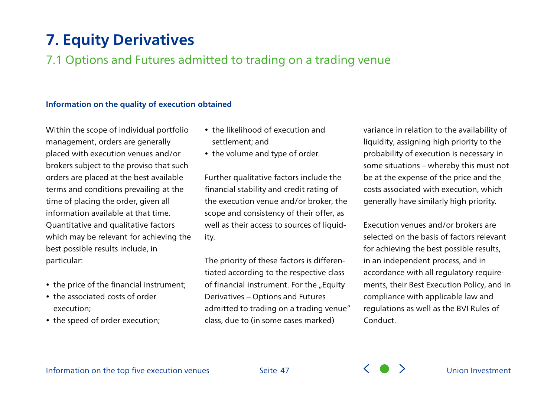## **7. Equity Derivatives**

### 7.1 Options and Futures admitted to trading on a trading venue

#### **Information on the quality of execution obtained**

Within the scope of individual portfolio management, orders are generally placed with execution venues and/or brokers subject to the proviso that such orders are placed at the best available terms and conditions prevailing at the time of placing the order, given all information available at that time. Quantitative and qualitative factors which may be relevant for achieving the best possible results include, in particular:

- the price of the financial instrument;
- the associated costs of order execution;
- the speed of order execution;
- the likelihood of execution and settlement; and
- the volume and type of order.

Further qualitative factors include the financial stability and credit rating of the execution venue and/or broker, the scope and consistency of their offer, as well as their access to sources of liquidity.

The priority of these factors is differentiated according to the respective class of financial instrument. For the "Equity Derivatives – Options and Futures admitted to trading on a trading venue" class, due to (in some cases marked)

variance in relation to the availability of liquidity, assigning high priority to the probability of execution is necessary in some situations – whereby this must not be at the expense of the price and the costs associated with execution, which generally have similarly high priority.

Execution venues and/or brokers are selected on the basis of factors relevant for achieving the best possible results, in an independent process, and in accordance with all regulatory requirements, their Best Execution Policy, and in compliance with applicable law and regulations as well as the BVI Rules of Conduct.

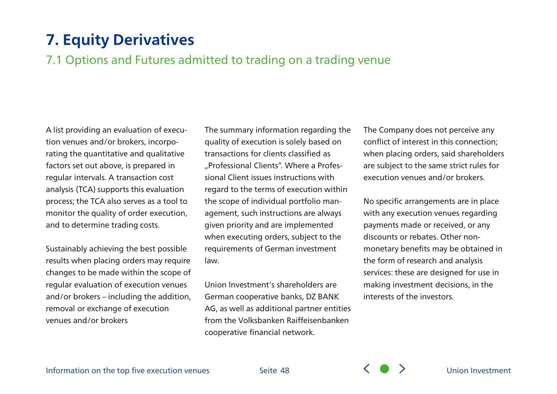### **7. Equity Derivatives**

### 7.1 Options and Futures admitted to trading on a trading venue

A list providing an evaluation of execution venues and/or brokers, incorporating the quantitative and qualitative factors set out above, is prepared in regular intervals. A transaction cost analysis (TCA) supports this evaluation process; the TCA also serves as a tool to monitor the quality of order execution, and to determine trading costs.

Sustainably achieving the best possible results when placing orders may require changes to be made within the scope of regular evaluation of execution venues and/or brokers – including the addition, removal or exchange of execution venues and/or brokers

The summary information regarding the quality of execution is solely based on transactions for clients classified as "Professional Clients". Where a Professional Client issues instructions with regard to the terms of execution within the scope of individual portfolio management, such instructions are always given priority and are implemented when executing orders, subject to the requirements of German investment law.

Union Investment's shareholders are German cooperative banks, DZ BANK AG, as well as additional partner entities from the Volksbanken Raiffeisenbanken cooperative financial network.

The Company does not perceive any conflict of interest in this connection; when placing orders, said shareholders are subject to the same strict rules for execution venues and/or brokers.

No specific arrangements are in place with any execution venues regarding payments made or received, or any discounts or rebates. Other nonmonetary benefits may be obtained in the form of research and analysis services: these are designed for use in making investment decisions, in the interests of the investors.

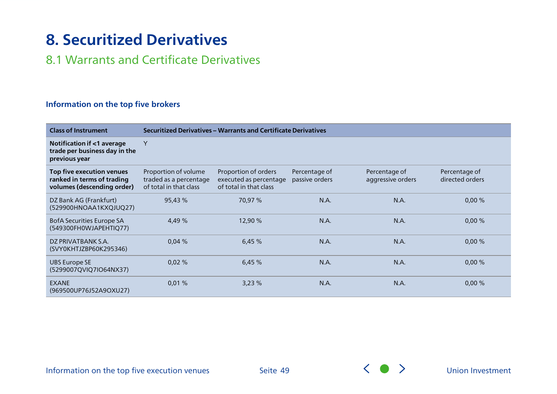## <span id="page-48-0"></span>**8. Securitized Derivatives**

### 8.1 Warrants and Certificate Derivatives

### **Information on the top five brokers**

| <b>Class of Instrument</b>                                                            | Securitized Derivatives - Warrants and Certificate Derivatives           |                                                                          |                                 |                                    |                                  |  |
|---------------------------------------------------------------------------------------|--------------------------------------------------------------------------|--------------------------------------------------------------------------|---------------------------------|------------------------------------|----------------------------------|--|
| Notification if <1 average<br>trade per business day in the<br>previous year          | Y                                                                        |                                                                          |                                 |                                    |                                  |  |
| Top five execution venues<br>ranked in terms of trading<br>volumes (descending order) | Proportion of volume<br>traded as a percentage<br>of total in that class | Proportion of orders<br>executed as percentage<br>of total in that class | Percentage of<br>passive orders | Percentage of<br>aggressive orders | Percentage of<br>directed orders |  |
| DZ Bank AG (Frankfurt)<br>(529900HNOAA1KXQJUQ27)                                      | 95,43 %                                                                  | 70,97 %                                                                  | N.A.                            | N.A.                               | 0,00%                            |  |
| BofA Securities Europe SA<br>(549300FH0WJAPEHTIQ77)                                   | 4,49 %                                                                   | 12,90 %                                                                  | N.A.                            | N.A.                               | 0,00%                            |  |
| DZ PRIVATBANK S.A.<br>(SVY0KHTJZBP60K295346)                                          | 0,04%                                                                    | 6,45%                                                                    | N.A.                            | N.A.                               | 0,00%                            |  |
| <b>UBS Europe SE</b><br>(5299007QVIQ7IO64NX37)                                        | 0,02%                                                                    | 6,45%                                                                    | N.A.                            | N.A.                               | 0,00%                            |  |
| <b>EXANE</b><br>(969500UP76J52A9OXU27)                                                | 0,01%                                                                    | 3,23%                                                                    | N.A.                            | N.A.                               | 0,00%                            |  |

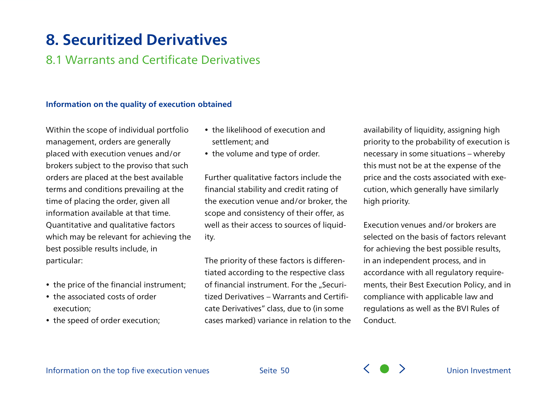## **8. Securitized Derivatives**

### 8.1 Warrants and Certificate Derivatives

#### **Information on the quality of execution obtained**

Within the scope of individual portfolio management, orders are generally placed with execution venues and/or brokers subject to the proviso that such orders are placed at the best available terms and conditions prevailing at the time of placing the order, given all information available at that time. Quantitative and qualitative factors which may be relevant for achieving the best possible results include, in particular:

- the price of the financial instrument;
- the associated costs of order execution;
- the speed of order execution;
- the likelihood of execution and settlement; and
- the volume and type of order.

Further qualitative factors include the financial stability and credit rating of the execution venue and/or broker, the scope and consistency of their offer, as well as their access to sources of liquidity.

The priority of these factors is differentiated according to the respective class of financial instrument. For the "Securitized Derivatives – Warrants and Certificate Derivatives" class, due to (in some cases marked) variance in relation to the

availability of liquidity, assigning high priority to the probability of execution is necessary in some situations – whereby this must not be at the expense of the price and the costs associated with execution, which generally have similarly high priority.

Execution venues and/or brokers are selected on the basis of factors relevant for achieving the best possible results, in an independent process, and in accordance with all regulatory requirements, their Best Execution Policy, and in compliance with applicable law and regulations as well as the BVI Rules of Conduct.



Seite 50  $\left\langle \begin{array}{c} \searrow \\ \searrow \end{array} \right\rangle$  [Union Investment](#page-0-0)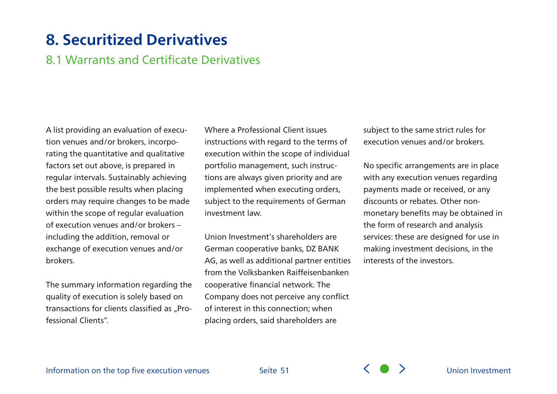## **8. Securitized Derivatives**

### 8.1 Warrants and Certificate Derivatives

A list providing an evaluation of execution venues and/or brokers, incorporating the quantitative and qualitative factors set out above, is prepared in regular intervals. Sustainably achieving the best possible results when placing orders may require changes to be made within the scope of regular evaluation of execution venues and/or brokers – including the addition, removal or exchange of execution venues and/or brokers.

The summary information regarding the quality of execution is solely based on transactions for clients classified as "Professional Clients".

Where a Professional Client issues instructions with regard to the terms of execution within the scope of individual portfolio management, such instructions are always given priority and are implemented when executing orders, subject to the requirements of German investment law.

Union Investment's shareholders are German cooperative banks, DZ BANK AG, as well as additional partner entities from the Volksbanken Raiffeisenbanken cooperative financial network. The Company does not perceive any conflict of interest in this connection; when placing orders, said shareholders are

subject to the same strict rules for execution venues and/or brokers.

No specific arrangements are in place with any execution venues regarding payments made or received, or any discounts or rebates. Other nonmonetary benefits may be obtained in the form of research and analysis services: these are designed for use in making investment decisions, in the interests of the investors.

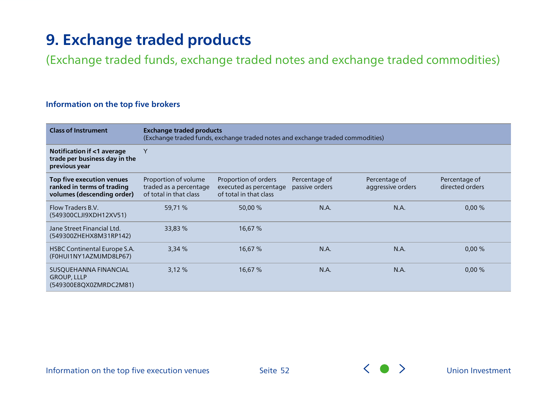<span id="page-51-0"></span>(Exchange traded funds, exchange traded notes and exchange traded commodities)

### **Information on the top five brokers**

| <b>Class of Instrument</b>                                                            | <b>Exchange traded products</b><br>(Exchange traded funds, exchange traded notes and exchange traded commodities) |                                                                          |                                 |                                    |                                  |  |
|---------------------------------------------------------------------------------------|-------------------------------------------------------------------------------------------------------------------|--------------------------------------------------------------------------|---------------------------------|------------------------------------|----------------------------------|--|
| Notification if <1 average<br>trade per business day in the<br>previous year          | Y                                                                                                                 |                                                                          |                                 |                                    |                                  |  |
| Top five execution venues<br>ranked in terms of trading<br>volumes (descending order) | Proportion of volume<br>traded as a percentage<br>of total in that class                                          | Proportion of orders<br>executed as percentage<br>of total in that class | Percentage of<br>passive orders | Percentage of<br>aggressive orders | Percentage of<br>directed orders |  |
| Flow Traders B.V.<br>(549300CLJI9XDH12XV51)                                           | 59,71 %                                                                                                           | 50,00 %                                                                  | N.A.                            | N.A.                               | 0,00%                            |  |
| Jane Street Financial Ltd.<br>(549300ZHEHX8M31RP142)                                  | 33,83 %                                                                                                           | 16,67 %                                                                  |                                 |                                    |                                  |  |
| HSBC Continental Europe S.A.<br>(F0HUI1NY1AZMJMD8LP67)                                | 3,34%                                                                                                             | 16,67 %                                                                  | N.A.                            | N.A.                               | 0,00%                            |  |
| SUSQUEHANNA FINANCIAL<br><b>GROUP, LLLP</b><br>(549300E8QX0ZMRDC2M81)                 | 3,12%                                                                                                             | 16,67 %                                                                  | N.A.                            | N.A.                               | 0,00%                            |  |

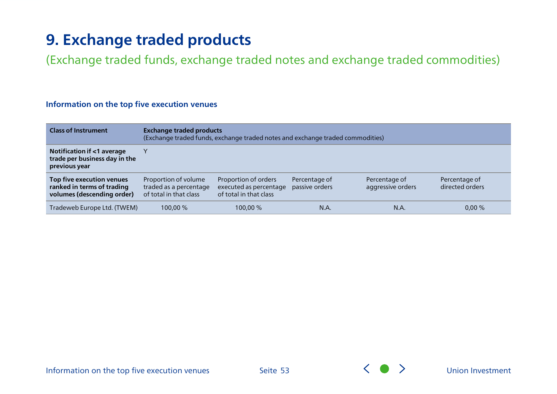(Exchange traded funds, exchange traded notes and exchange traded commodities)

| <b>Class of Instrument</b>                                                            | <b>Exchange traded products</b><br>(Exchange traded funds, exchange traded notes and exchange traded commodities) |                                                                          |                                 |                                    |                                  |
|---------------------------------------------------------------------------------------|-------------------------------------------------------------------------------------------------------------------|--------------------------------------------------------------------------|---------------------------------|------------------------------------|----------------------------------|
| Notification if <1 average<br>trade per business day in the<br>previous year          |                                                                                                                   |                                                                          |                                 |                                    |                                  |
| Top five execution venues<br>ranked in terms of trading<br>volumes (descending order) | Proportion of volume<br>traded as a percentage<br>of total in that class                                          | Proportion of orders<br>executed as percentage<br>of total in that class | Percentage of<br>passive orders | Percentage of<br>aggressive orders | Percentage of<br>directed orders |
| Tradeweb Europe Ltd. (TWEM)                                                           | 100.00 %                                                                                                          | 100,00 %                                                                 | N.A.                            | N.A.                               | 0,00%                            |

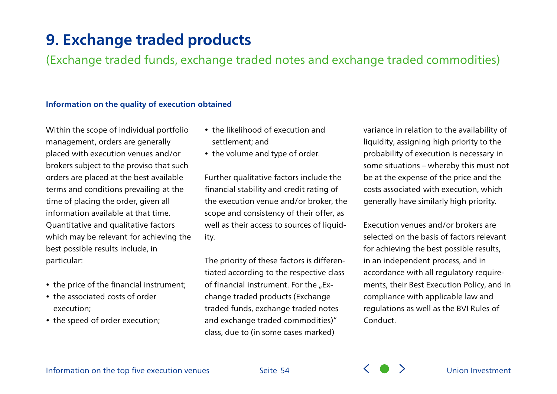(Exchange traded funds, exchange traded notes and exchange traded commodities)

### **Information on the quality of execution obtained**

Within the scope of individual portfolio management, orders are generally placed with execution venues and/or brokers subject to the proviso that such orders are placed at the best available terms and conditions prevailing at the time of placing the order, given all information available at that time. Quantitative and qualitative factors which may be relevant for achieving the best possible results include, in particular:

- the price of the financial instrument;
- the associated costs of order execution;
- the speed of order execution;
- the likelihood of execution and settlement; and
- the volume and type of order.

Further qualitative factors include the financial stability and credit rating of the execution venue and/or broker, the scope and consistency of their offer, as well as their access to sources of liquidity.

The priority of these factors is differentiated according to the respective class of financial instrument. For the "Exchange traded products (Exchange traded funds, exchange traded notes and exchange traded commodities)" class, due to (in some cases marked)

variance in relation to the availability of liquidity, assigning high priority to the probability of execution is necessary in some situations – whereby this must not be at the expense of the price and the costs associated with execution, which generally have similarly high priority.

Execution venues and/or brokers are selected on the basis of factors relevant for achieving the best possible results, in an independent process, and in accordance with all regulatory requirements, their Best Execution Policy, and in compliance with applicable law and regulations as well as the BVI Rules of Conduct.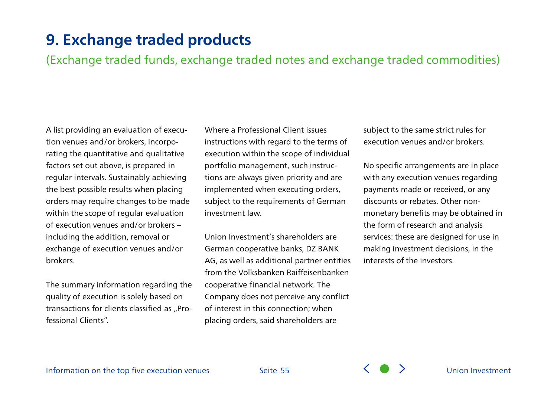(Exchange traded funds, exchange traded notes and exchange traded commodities)

A list providing an evaluation of execution venues and/or brokers, incorporating the quantitative and qualitative factors set out above, is prepared in regular intervals. Sustainably achieving the best possible results when placing orders may require changes to be made within the scope of regular evaluation of execution venues and/or brokers – including the addition, removal or exchange of execution venues and/or brokers.

The summary information regarding the quality of execution is solely based on transactions for clients classified as "Professional Clients".

Where a Professional Client issues instructions with regard to the terms of execution within the scope of individual portfolio management, such instructions are always given priority and are implemented when executing orders, subject to the requirements of German investment law.

Union Investment's shareholders are German cooperative banks, DZ BANK AG, as well as additional partner entities from the Volksbanken Raiffeisenbanken cooperative financial network. The Company does not perceive any conflict of interest in this connection; when placing orders, said shareholders are

subject to the same strict rules for execution venues and/or brokers.

No specific arrangements are in place with any execution venues regarding payments made or received, or any discounts or rebates. Other nonmonetary benefits may be obtained in the form of research and analysis services: these are designed for use in making investment decisions, in the interests of the investors.

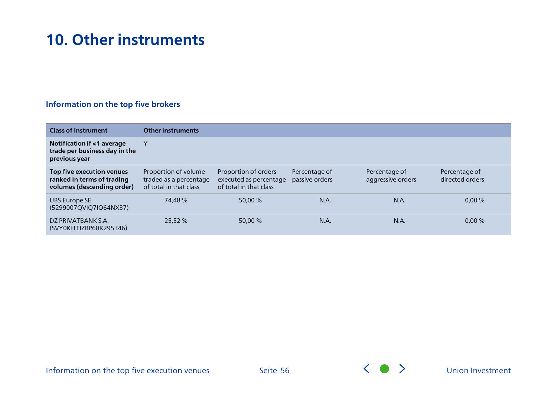## <span id="page-55-0"></span>**10. Other instruments**

### **Information on the top five brokers**

| <b>Class of Instrument</b>                                                            | <b>Other instruments</b>                                                 |                                                                          |                                 |                                    |                                  |
|---------------------------------------------------------------------------------------|--------------------------------------------------------------------------|--------------------------------------------------------------------------|---------------------------------|------------------------------------|----------------------------------|
| Notification if <1 average<br>trade per business day in the<br>previous year          |                                                                          |                                                                          |                                 |                                    |                                  |
| Top five execution venues<br>ranked in terms of trading<br>volumes (descending order) | Proportion of volume<br>traded as a percentage<br>of total in that class | Proportion of orders<br>executed as percentage<br>of total in that class | Percentage of<br>passive orders | Percentage of<br>aggressive orders | Percentage of<br>directed orders |
| <b>UBS Europe SE</b><br>(5299007QVIQ7IO64NX37)                                        | 74,48 %                                                                  | 50,00 %                                                                  | N.A.                            | N.A.                               | 0,00%                            |
| DZ PRIVATBANK S.A.<br>(SVY0KHTJZBP60K295346)                                          | 25,52 %                                                                  | 50,00 %                                                                  | N.A.                            | N.A.                               | 0,00%                            |



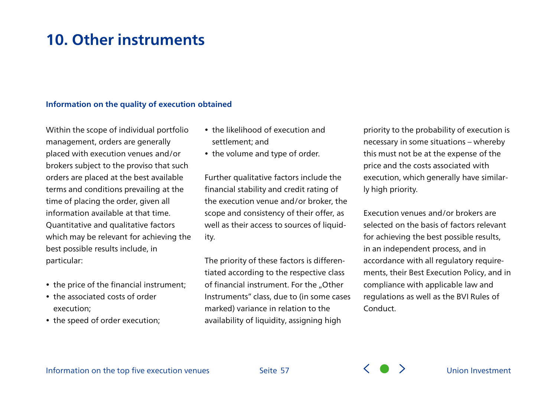### **10. Other instruments**

#### **Information on the quality of execution obtained**

Within the scope of individual portfolio management, orders are generally placed with execution venues and/or brokers subject to the proviso that such orders are placed at the best available terms and conditions prevailing at the time of placing the order, given all information available at that time. Quantitative and qualitative factors which may be relevant for achieving the best possible results include, in particular:

- the price of the financial instrument;
- the associated costs of order execution;
- the speed of order execution;
- the likelihood of execution and settlement; and
- the volume and type of order.

Further qualitative factors include the financial stability and credit rating of the execution venue and/or broker, the scope and consistency of their offer, as well as their access to sources of liquidity.

The priority of these factors is differentiated according to the respective class of financial instrument. For the "Other Instruments" class, due to (in some cases marked) variance in relation to the availability of liquidity, assigning high

priority to the probability of execution is necessary in some situations – whereby this must not be at the expense of the price and the costs associated with execution, which generally have similarly high priority.

Execution venues and/or brokers are selected on the basis of factors relevant for achieving the best possible results, in an independent process, and in accordance with all regulatory requirements, their Best Execution Policy, and in compliance with applicable law and regulations as well as the BVI Rules of Conduct.



Seite 57  $\left\{ \quad \right\}$  Dhion Investment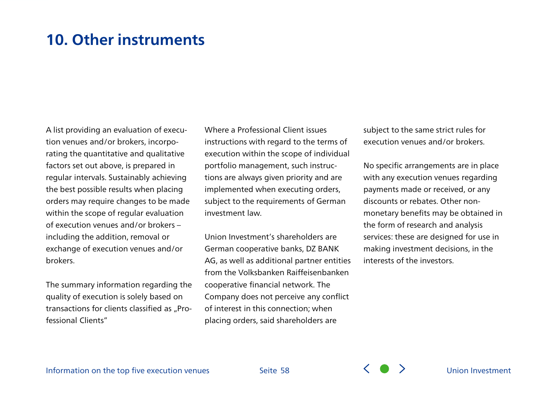### **10. Other instruments**

A list providing an evaluation of execution venues and/or brokers, incorporating the quantitative and qualitative factors set out above, is prepared in regular intervals. Sustainably achieving the best possible results when placing orders may require changes to be made within the scope of regular evaluation of execution venues and/or brokers – including the addition, removal or exchange of execution venues and/or brokers.

The summary information regarding the quality of execution is solely based on transactions for clients classified as "Professional Clients"

Where a Professional Client issues instructions with regard to the terms of execution within the scope of individual portfolio management, such instructions are always given priority and are implemented when executing orders, subject to the requirements of German investment law.

Union Investment's shareholders are German cooperative banks, DZ BANK AG, as well as additional partner entities from the Volksbanken Raiffeisenbanken cooperative financial network. The Company does not perceive any conflict of interest in this connection; when placing orders, said shareholders are

subject to the same strict rules for execution venues and/or brokers.

No specific arrangements are in place with any execution venues regarding payments made or received, or any discounts or rebates. Other nonmonetary benefits may be obtained in the form of research and analysis services: these are designed for use in making investment decisions, in the interests of the investors.